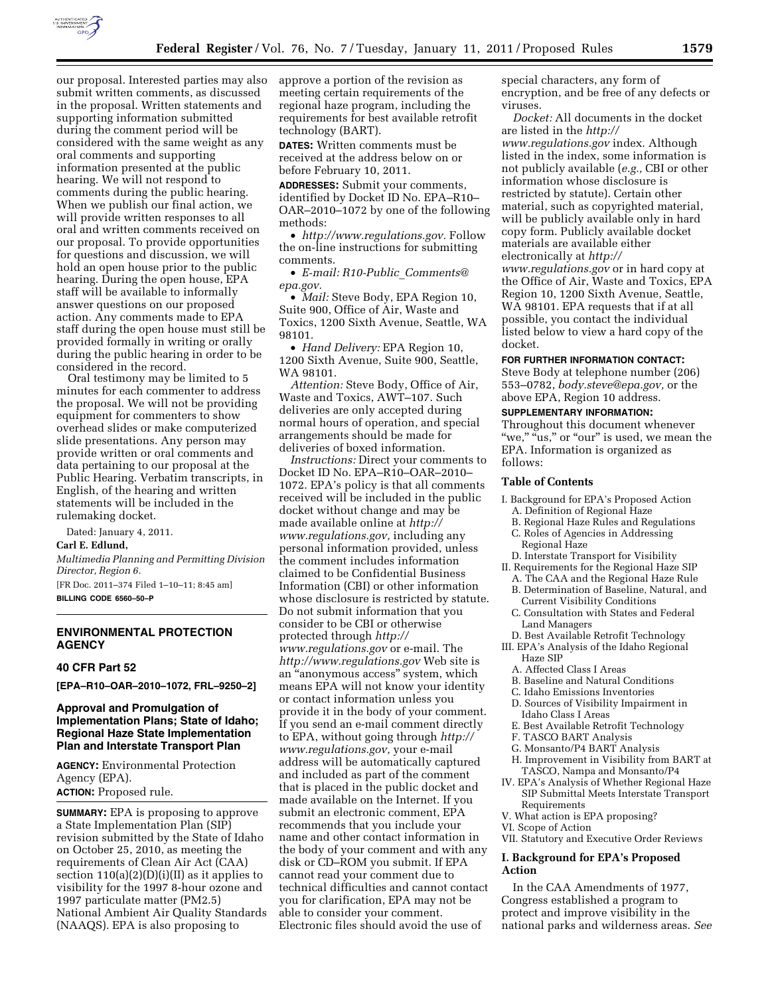

our proposal. Interested parties may also submit written comments, as discussed in the proposal. Written statements and supporting information submitted during the comment period will be considered with the same weight as any oral comments and supporting information presented at the public hearing. We will not respond to comments during the public hearing. When we publish our final action, we will provide written responses to all oral and written comments received on our proposal. To provide opportunities for questions and discussion, we will hold an open house prior to the public hearing. During the open house, EPA staff will be available to informally answer questions on our proposed action. Any comments made to EPA staff during the open house must still be provided formally in writing or orally during the public hearing in order to be considered in the record.

Oral testimony may be limited to 5 minutes for each commenter to address the proposal. We will not be providing equipment for commenters to show overhead slides or make computerized slide presentations. Any person may provide written or oral comments and data pertaining to our proposal at the Public Hearing. Verbatim transcripts, in English, of the hearing and written statements will be included in the rulemaking docket.

Dated: January 4, 2011.

# **Carl E. Edlund,**

*Multimedia Planning and Permitting Division Director, Region 6.* 

[FR Doc. 2011–374 Filed 1–10–11; 8:45 am] **BILLING CODE 6560–50–P** 

### **ENVIRONMENTAL PROTECTION AGENCY**

#### **40 CFR Part 52**

**[EPA–R10–OAR–2010–1072, FRL–9250–2]** 

# **Approval and Promulgation of Implementation Plans; State of Idaho; Regional Haze State Implementation Plan and Interstate Transport Plan**

**AGENCY:** Environmental Protection Agency (EPA). **ACTION:** Proposed rule.

**SUMMARY:** EPA is proposing to approve a State Implementation Plan (SIP) revision submitted by the State of Idaho on October 25, 2010, as meeting the requirements of Clean Air Act (CAA) section  $110(a)(2)(D)(i)(II)$  as it applies to visibility for the 1997 8-hour ozone and 1997 particulate matter (PM2.5) National Ambient Air Quality Standards (NAAQS). EPA is also proposing to

approve a portion of the revision as meeting certain requirements of the regional haze program, including the requirements for best available retrofit technology (BART).

**DATES:** Written comments must be received at the address below on or before February 10, 2011.

**ADDRESSES:** Submit your comments, identified by Docket ID No. EPA–R10– OAR–2010–1072 by one of the following methods:

• *[http://www.regulations.gov.](http://www.regulations.gov)* Follow the on-line instructions for submitting comments.

• *E-mail: R10-Public*\_*[Comments@](mailto:R10-Public_Comments@epa.gov) [epa.gov.](mailto:R10-Public_Comments@epa.gov)* 

• *Mail:* Steve Body, EPA Region 10, Suite 900, Office of Air, Waste and Toxics, 1200 Sixth Avenue, Seattle, WA 98101.

• *Hand Delivery:* EPA Region 10, 1200 Sixth Avenue, Suite 900, Seattle, WA 98101.

*Attention:* Steve Body, Office of Air, Waste and Toxics, AWT–107. Such deliveries are only accepted during normal hours of operation, and special arrangements should be made for deliveries of boxed information.

*Instructions:* Direct your comments to Docket ID No. EPA–R10–OAR–2010– 1072. EPA's policy is that all comments received will be included in the public docket without change and may be made available online at *[http://](http://www.regulations.gov)  [www.regulations.gov,](http://www.regulations.gov)* including any personal information provided, unless the comment includes information claimed to be Confidential Business Information (CBI) or other information whose disclosure is restricted by statute. Do not submit information that you consider to be CBI or otherwise protected through *[http://](http://www.regulations.gov)  [www.regulations.gov](http://www.regulations.gov)* or e-mail. The *<http://www.regulations.gov>* Web site is an ''anonymous access'' system, which means EPA will not know your identity or contact information unless you provide it in the body of your comment. If you send an e-mail comment directly to EPA, without going through *[http://](http://www.regulations.gov)  [www.regulations.gov,](http://www.regulations.gov)* your e-mail address will be automatically captured and included as part of the comment that is placed in the public docket and made available on the Internet. If you submit an electronic comment, EPA recommends that you include your name and other contact information in the body of your comment and with any disk or CD–ROM you submit. If EPA cannot read your comment due to technical difficulties and cannot contact you for clarification, EPA may not be able to consider your comment. Electronic files should avoid the use of

special characters, any form of encryption, and be free of any defects or viruses.

*Docket:* All documents in the docket are listed in the *[http://](http://www.regulations.gov) [www.regulations.gov](http://www.regulations.gov)* index. Although listed in the index, some information is not publicly available (*e.g.,* CBI or other information whose disclosure is restricted by statute). Certain other material, such as copyrighted material, will be publicly available only in hard copy form. Publicly available docket materials are available either electronically at *[http://](http://www.regulations.gov) [www.regulations.gov](http://www.regulations.gov)* or in hard copy at the Office of Air, Waste and Toxics, EPA Region 10, 1200 Sixth Avenue, Seattle, WA 98101. EPA requests that if at all possible, you contact the individual listed below to view a hard copy of the

**FOR FURTHER INFORMATION CONTACT:** 

Steve Body at telephone number (206) 553–0782, *[body.steve@epa.gov,](mailto:body.steve@epa.gov)* or the above EPA, Region 10 address.

### **SUPPLEMENTARY INFORMATION:**

Throughout this document whenever "we," "us," or "our" is used, we mean the EPA. Information is organized as follows:

#### **Table of Contents**

docket.

- I. Background for EPA's Proposed Action A. Definition of Regional Haze
	- B. Regional Haze Rules and Regulations
	- C. Roles of Agencies in Addressing
	- Regional Haze

D. Interstate Transport for Visibility

- II. Requirements for the Regional Haze SIP A. The CAA and the Regional Haze Rule
	- B. Determination of Baseline, Natural, and Current Visibility Conditions
	- C. Consultation with States and Federal Land Managers
- D. Best Available Retrofit Technology
- III. EPA's Analysis of the Idaho Regional Haze SIP
	- A. Affected Class I Areas
	- B. Baseline and Natural Conditions
	- C. Idaho Emissions Inventories
- D. Sources of Visibility Impairment in
- Idaho Class I Areas
- E. Best Available Retrofit Technology
- F. TASCO BART Analysis
- G. Monsanto/P4 BART Analysis
- H. Improvement in Visibility from BART at TASCO, Nampa and Monsanto/P4
- IV. EPA's Analysis of Whether Regional Haze SIP Submittal Meets Interstate Transport Requirements
- V. What action is EPA proposing?
- VI. Scope of Action

VII. Statutory and Executive Order Reviews

# **I. Background for EPA's Proposed Action**

In the CAA Amendments of 1977, Congress established a program to protect and improve visibility in the national parks and wilderness areas. *See*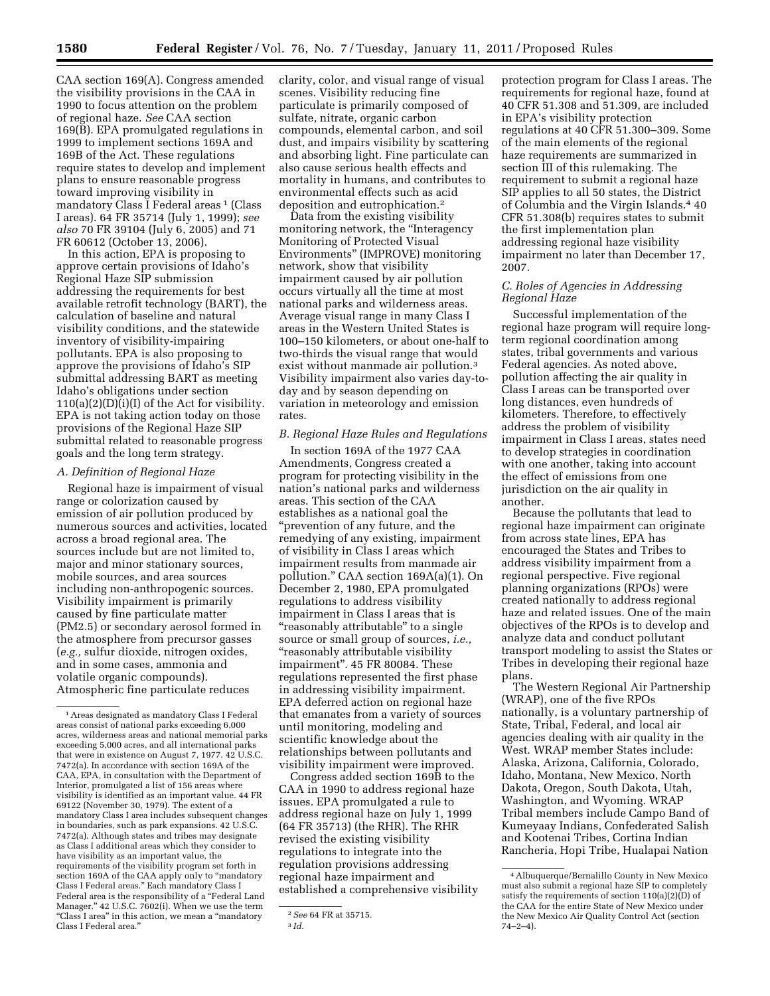CAA section 169(A). Congress amended the visibility provisions in the CAA in 1990 to focus attention on the problem of regional haze. *See* CAA section  $169(B)$ . EPA promulgated regulations in 1999 to implement sections 169A and 169B of the Act. These regulations require states to develop and implement plans to ensure reasonable progress toward improving visibility in mandatory Class I Federal areas<sup>1</sup> (Class I areas). 64 FR 35714 (July 1, 1999); *see also* 70 FR 39104 (July 6, 2005) and 71 FR 60612 (October 13, 2006).

In this action, EPA is proposing to approve certain provisions of Idaho's Regional Haze SIP submission addressing the requirements for best available retrofit technology (BART), the calculation of baseline and natural visibility conditions, and the statewide inventory of visibility-impairing pollutants. EPA is also proposing to approve the provisions of Idaho's SIP submittal addressing BART as meeting Idaho's obligations under section 110(a)(2)(D)(i)(I) of the Act for visibility. EPA is not taking action today on those provisions of the Regional Haze SIP submittal related to reasonable progress goals and the long term strategy.

### *A. Definition of Regional Haze*

Regional haze is impairment of visual range or colorization caused by emission of air pollution produced by numerous sources and activities, located across a broad regional area. The sources include but are not limited to, major and minor stationary sources, mobile sources, and area sources including non-anthropogenic sources. Visibility impairment is primarily caused by fine particulate matter (PM2.5) or secondary aerosol formed in the atmosphere from precursor gasses (*e.g.,* sulfur dioxide, nitrogen oxides, and in some cases, ammonia and volatile organic compounds). Atmospheric fine particulate reduces

clarity, color, and visual range of visual scenes. Visibility reducing fine particulate is primarily composed of sulfate, nitrate, organic carbon compounds, elemental carbon, and soil dust, and impairs visibility by scattering and absorbing light. Fine particulate can also cause serious health effects and mortality in humans, and contributes to environmental effects such as acid deposition and eutrophication.2

Data from the existing visibility monitoring network, the "Interagency Monitoring of Protected Visual Environments'' (IMPROVE) monitoring network, show that visibility impairment caused by air pollution occurs virtually all the time at most national parks and wilderness areas. Average visual range in many Class I areas in the Western United States is 100–150 kilometers, or about one-half to two-thirds the visual range that would exist without manmade air pollution.3 Visibility impairment also varies day-today and by season depending on variation in meteorology and emission rates.

#### *B. Regional Haze Rules and Regulations*

In section 169A of the 1977 CAA Amendments, Congress created a program for protecting visibility in the nation's national parks and wilderness areas. This section of the CAA establishes as a national goal the ''prevention of any future, and the remedying of any existing, impairment of visibility in Class I areas which impairment results from manmade air pollution.'' CAA section 169A(a)(1). On December 2, 1980, EPA promulgated regulations to address visibility impairment in Class I areas that is ''reasonably attributable'' to a single source or small group of sources, *i.e.,*  ''reasonably attributable visibility impairment''. 45 FR 80084. These regulations represented the first phase in addressing visibility impairment. EPA deferred action on regional haze that emanates from a variety of sources until monitoring, modeling and scientific knowledge about the relationships between pollutants and visibility impairment were improved.

Congress added section 169B to the CAA in 1990 to address regional haze issues. EPA promulgated a rule to address regional haze on July 1, 1999 (64 FR 35713) (the RHR). The RHR revised the existing visibility regulations to integrate into the regulation provisions addressing regional haze impairment and established a comprehensive visibility

protection program for Class I areas. The requirements for regional haze, found at 40 CFR 51.308 and 51.309, are included in EPA's visibility protection regulations at 40 CFR 51.300–309. Some of the main elements of the regional haze requirements are summarized in section III of this rulemaking. The requirement to submit a regional haze SIP applies to all 50 states, the District of Columbia and the Virgin Islands.4 40 CFR 51.308(b) requires states to submit the first implementation plan addressing regional haze visibility impairment no later than December 17, 2007.

## *C. Roles of Agencies in Addressing Regional Haze*

Successful implementation of the regional haze program will require longterm regional coordination among states, tribal governments and various Federal agencies. As noted above, pollution affecting the air quality in Class I areas can be transported over long distances, even hundreds of kilometers. Therefore, to effectively address the problem of visibility impairment in Class I areas, states need to develop strategies in coordination with one another, taking into account the effect of emissions from one jurisdiction on the air quality in another.

Because the pollutants that lead to regional haze impairment can originate from across state lines, EPA has encouraged the States and Tribes to address visibility impairment from a regional perspective. Five regional planning organizations (RPOs) were created nationally to address regional haze and related issues. One of the main objectives of the RPOs is to develop and analyze data and conduct pollutant transport modeling to assist the States or Tribes in developing their regional haze plans.

The Western Regional Air Partnership (WRAP), one of the five RPOs nationally, is a voluntary partnership of State, Tribal, Federal, and local air agencies dealing with air quality in the West. WRAP member States include: Alaska, Arizona, California, Colorado, Idaho, Montana, New Mexico, North Dakota, Oregon, South Dakota, Utah, Washington, and Wyoming. WRAP Tribal members include Campo Band of Kumeyaay Indians, Confederated Salish and Kootenai Tribes, Cortina Indian Rancheria, Hopi Tribe, Hualapai Nation

<sup>1</sup>Areas designated as mandatory Class I Federal areas consist of national parks exceeding 6,000 acres, wilderness areas and national memorial parks exceeding 5,000 acres, and all international parks that were in existence on August 7, 1977. 42 U.S.C. 7472(a). In accordance with section 169A of the CAA, EPA, in consultation with the Department of Interior, promulgated a list of 156 areas where visibility is identified as an important value. 44 FR 69122 (November 30, 1979). The extent of a mandatory Class I area includes subsequent changes in boundaries, such as park expansions. 42 U.S.C. 7472(a). Although states and tribes may designate as Class I additional areas which they consider to have visibility as an important value, the requirements of the visibility program set forth in section 169A of the CAA apply only to "mandatory Class I Federal areas.'' Each mandatory Class I Federal area is the responsibility of a "Federal Land Manager.'' 42 U.S.C. 7602(i). When we use the term "Class I area" in this action, we mean a "mandatory Class I Federal area.''

<sup>2</sup>*See* 64 FR at 35715.

<sup>3</sup> *Id.* 

<sup>4</sup>Albuquerque/Bernalillo County in New Mexico must also submit a regional haze SIP to completely satisfy the requirements of section 110(a)(2)(D) of the CAA for the entire State of New Mexico under the New Mexico Air Quality Control Act (section 74–2–4).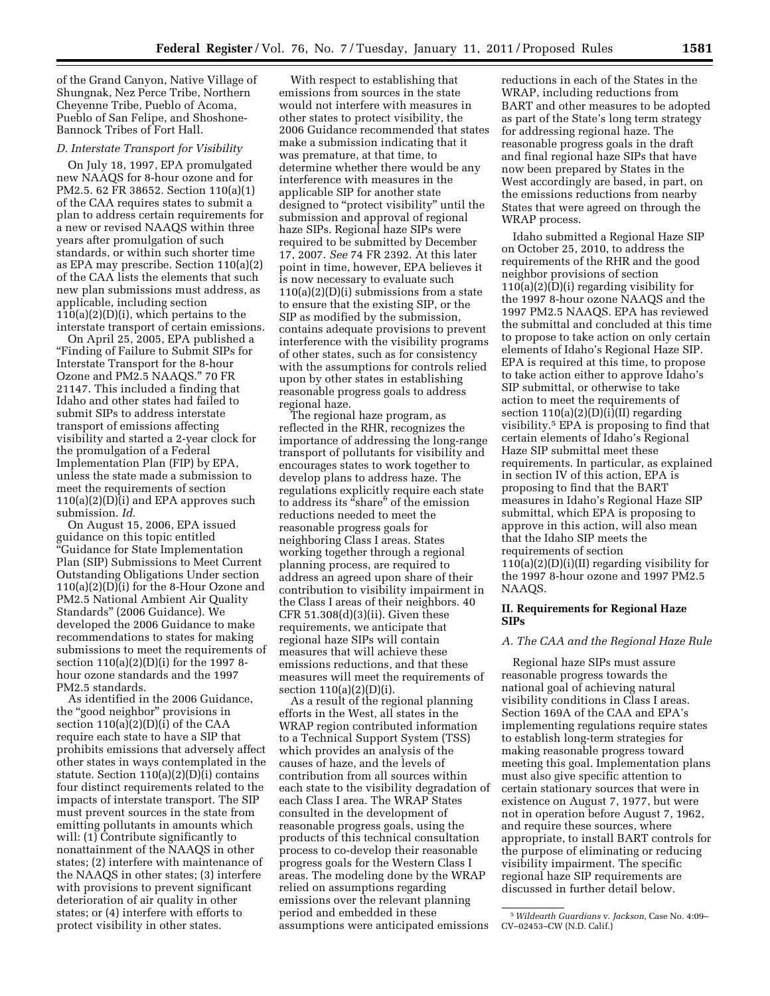of the Grand Canyon, Native Village of Shungnak, Nez Perce Tribe, Northern Cheyenne Tribe, Pueblo of Acoma, Pueblo of San Felipe, and Shoshone-Bannock Tribes of Fort Hall.

# *D. Interstate Transport for Visibility*

On July 18, 1997, EPA promulgated new NAAQS for 8-hour ozone and for PM2.5. 62 FR 38652. Section 110(a)(1) of the CAA requires states to submit a plan to address certain requirements for a new or revised NAAQS within three years after promulgation of such standards, or within such shorter time as EPA may prescribe. Section 110(a)(2) of the CAA lists the elements that such new plan submissions must address, as applicable, including section  $110(a)(2)(D)(i)$ , which pertains to the interstate transport of certain emissions.

On April 25, 2005, EPA published a ''Finding of Failure to Submit SIPs for Interstate Transport for the 8-hour Ozone and PM2.5 NAAQS.'' 70 FR 21147. This included a finding that Idaho and other states had failed to submit SIPs to address interstate transport of emissions affecting visibility and started a 2-year clock for the promulgation of a Federal Implementation Plan (FIP) by EPA, unless the state made a submission to meet the requirements of section  $110(a)(2)(D)(i)$  and EPA approves such submission. *Id.* 

On August 15, 2006, EPA issued guidance on this topic entitled ''Guidance for State Implementation Plan (SIP) Submissions to Meet Current Outstanding Obligations Under section 110(a)(2)(D)(i) for the 8-Hour Ozone and PM2.5 National Ambient Air Quality Standards'' (2006 Guidance). We developed the 2006 Guidance to make recommendations to states for making submissions to meet the requirements of section 110(a)(2)(D)(i) for the 1997 8 hour ozone standards and the 1997 PM2.5 standards.

As identified in the 2006 Guidance, the ''good neighbor'' provisions in section  $110(a)(2)(D)(i)$  of the CAA require each state to have a SIP that prohibits emissions that adversely affect other states in ways contemplated in the statute. Section 110(a)(2)(D)(i) contains four distinct requirements related to the impacts of interstate transport. The SIP must prevent sources in the state from emitting pollutants in amounts which will: (1) Contribute significantly to nonattainment of the NAAQS in other states; (2) interfere with maintenance of the NAAQS in other states; (3) interfere with provisions to prevent significant deterioration of air quality in other states; or (4) interfere with efforts to protect visibility in other states.

With respect to establishing that emissions from sources in the state would not interfere with measures in other states to protect visibility, the 2006 Guidance recommended that states make a submission indicating that it was premature, at that time, to determine whether there would be any interference with measures in the applicable SIP for another state designed to "protect visibility" until the submission and approval of regional haze SIPs. Regional haze SIPs were required to be submitted by December 17, 2007. *See* 74 FR 2392. At this later point in time, however, EPA believes it is now necessary to evaluate such  $110(a)(2)(D)(i)$  submissions from a state to ensure that the existing SIP, or the SIP as modified by the submission, contains adequate provisions to prevent interference with the visibility programs of other states, such as for consistency with the assumptions for controls relied upon by other states in establishing reasonable progress goals to address regional haze.

The regional haze program, as reflected in the RHR, recognizes the importance of addressing the long-range transport of pollutants for visibility and encourages states to work together to develop plans to address haze. The regulations explicitly require each state to address its ''share'' of the emission reductions needed to meet the reasonable progress goals for neighboring Class I areas. States working together through a regional planning process, are required to address an agreed upon share of their contribution to visibility impairment in the Class I areas of their neighbors. 40  $CFR 51.308(d)(3)(ii)$ . Given these requirements, we anticipate that regional haze SIPs will contain measures that will achieve these emissions reductions, and that these measures will meet the requirements of section 110(a)(2)(D)(i).

As a result of the regional planning efforts in the West, all states in the WRAP region contributed information to a Technical Support System (TSS) which provides an analysis of the causes of haze, and the levels of contribution from all sources within each state to the visibility degradation of each Class I area. The WRAP States consulted in the development of reasonable progress goals, using the products of this technical consultation process to co-develop their reasonable progress goals for the Western Class I areas. The modeling done by the WRAP relied on assumptions regarding emissions over the relevant planning period and embedded in these assumptions were anticipated emissions

reductions in each of the States in the WRAP, including reductions from BART and other measures to be adopted as part of the State's long term strategy for addressing regional haze. The reasonable progress goals in the draft and final regional haze SIPs that have now been prepared by States in the West accordingly are based, in part, on the emissions reductions from nearby States that were agreed on through the WRAP process.

Idaho submitted a Regional Haze SIP on October 25, 2010, to address the requirements of the RHR and the good neighbor provisions of section 110(a)(2)(D)(i) regarding visibility for the 1997 8-hour ozone NAAQS and the 1997 PM2.5 NAAQS. EPA has reviewed the submittal and concluded at this time to propose to take action on only certain elements of Idaho's Regional Haze SIP. EPA is required at this time, to propose to take action either to approve Idaho's SIP submittal, or otherwise to take action to meet the requirements of section  $110(a)(2)(D)(i)(II)$  regarding visibility.5 EPA is proposing to find that certain elements of Idaho's Regional Haze SIP submittal meet these requirements. In particular, as explained in section IV of this action, EPA is proposing to find that the BART measures in Idaho's Regional Haze SIP submittal, which EPA is proposing to approve in this action, will also mean that the Idaho SIP meets the requirements of section  $110(a)(2)(D)(i)(II)$  regarding visibility for the 1997 8-hour ozone and 1997 PM2.5 NAAQS.

# **II. Requirements for Regional Haze SIPs**

# *A. The CAA and the Regional Haze Rule*

Regional haze SIPs must assure reasonable progress towards the national goal of achieving natural visibility conditions in Class I areas. Section 169A of the CAA and EPA's implementing regulations require states to establish long-term strategies for making reasonable progress toward meeting this goal. Implementation plans must also give specific attention to certain stationary sources that were in existence on August 7, 1977, but were not in operation before August 7, 1962, and require these sources, where appropriate, to install BART controls for the purpose of eliminating or reducing visibility impairment. The specific regional haze SIP requirements are discussed in further detail below.

<sup>5</sup>*Wildearth Guardians* v. *Jackson,* Case No. 4:09– CV–02453–CW (N.D. Calif.)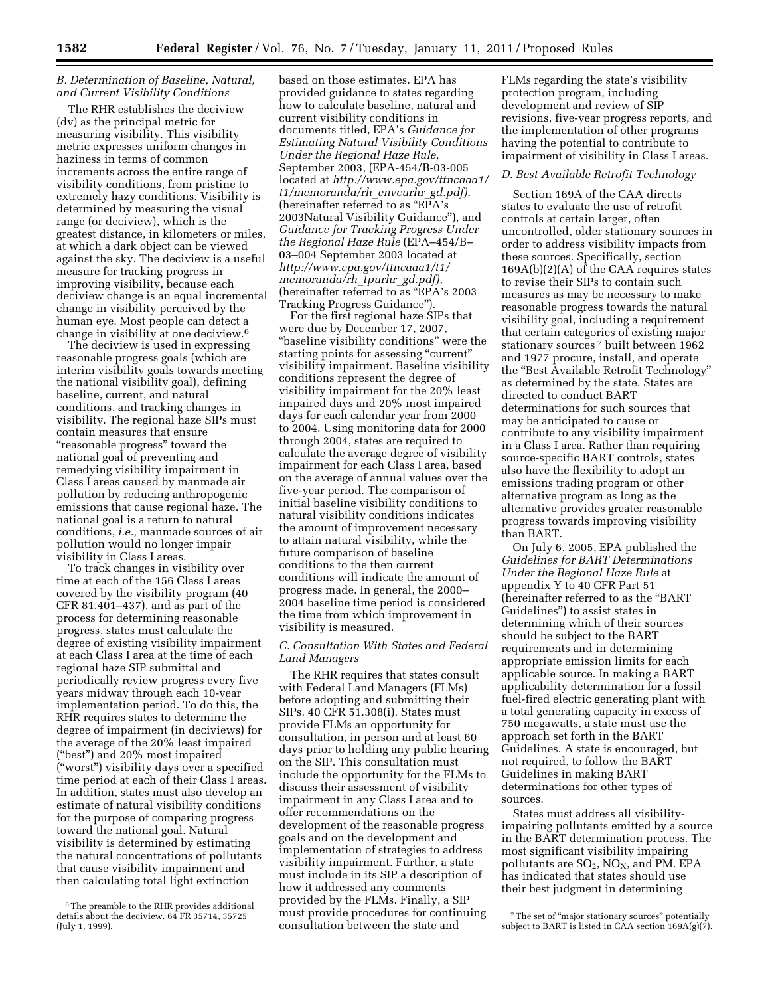# *B. Determination of Baseline, Natural, and Current Visibility Conditions*

The RHR establishes the deciview (dv) as the principal metric for measuring visibility. This visibility metric expresses uniform changes in haziness in terms of common increments across the entire range of visibility conditions, from pristine to extremely hazy conditions. Visibility is determined by measuring the visual range (or deciview), which is the greatest distance, in kilometers or miles, at which a dark object can be viewed against the sky. The deciview is a useful measure for tracking progress in improving visibility, because each deciview change is an equal incremental change in visibility perceived by the human eye. Most people can detect a change in visibility at one deciview.6

The deciview is used in expressing reasonable progress goals (which are interim visibility goals towards meeting the national visibility goal), defining baseline, current, and natural conditions, and tracking changes in visibility. The regional haze SIPs must contain measures that ensure ''reasonable progress'' toward the national goal of preventing and remedying visibility impairment in Class I areas caused by manmade air pollution by reducing anthropogenic emissions that cause regional haze. The national goal is a return to natural conditions, *i.e.,* manmade sources of air pollution would no longer impair visibility in Class I areas.

To track changes in visibility over time at each of the 156 Class I areas covered by the visibility program (40 CFR 81.401–437), and as part of the process for determining reasonable progress, states must calculate the degree of existing visibility impairment at each Class I area at the time of each regional haze SIP submittal and periodically review progress every five years midway through each 10-year implementation period. To do this, the RHR requires states to determine the degree of impairment (in deciviews) for the average of the 20% least impaired (''best'') and 20% most impaired (''worst'') visibility days over a specified time period at each of their Class I areas. In addition, states must also develop an estimate of natural visibility conditions for the purpose of comparing progress toward the national goal. Natural visibility is determined by estimating the natural concentrations of pollutants that cause visibility impairment and then calculating total light extinction

based on those estimates. EPA has provided guidance to states regarding how to calculate baseline, natural and current visibility conditions in documents titled, EPA's *Guidance for Estimating Natural Visibility Conditions Under the Regional Haze Rule,*  September 2003, (EPA-454/B-03-005 located at *[http://www.epa.gov/ttncaaa1/](http://www.epa.gov/ttncaaa1/t1/memoranda/rh_envcurhr_gd.pdf)  [t1/memoranda/rh](http://www.epa.gov/ttncaaa1/t1/memoranda/rh_envcurhr_gd.pdf)*\_*envcurhr*\_*gd.pdf),*  (hereinafter referred to as ''EPA's 2003Natural Visibility Guidance''), and *Guidance for Tracking Progress Under the Regional Haze Rule* (EPA–454/B– 03–004 September 2003 located at *[http://www.epa.gov/ttncaaa1/t1/](http://www.epa.gov/ttncaaa1/t1/memoranda/rh_tpurhr_gd.pdf) [memoranda/rh](http://www.epa.gov/ttncaaa1/t1/memoranda/rh_tpurhr_gd.pdf)*\_*tpurhr*\_*gd.pdf)*, (hereinafter referred to as ''EPA's 2003 Tracking Progress Guidance'').

For the first regional haze SIPs that were due by December 17, 2007, ''baseline visibility conditions'' were the starting points for assessing "current" visibility impairment. Baseline visibility conditions represent the degree of visibility impairment for the 20% least impaired days and 20% most impaired days for each calendar year from 2000 to 2004. Using monitoring data for 2000 through 2004, states are required to calculate the average degree of visibility impairment for each Class I area, based on the average of annual values over the five-year period. The comparison of initial baseline visibility conditions to natural visibility conditions indicates the amount of improvement necessary to attain natural visibility, while the future comparison of baseline conditions to the then current conditions will indicate the amount of progress made. In general, the 2000– 2004 baseline time period is considered the time from which improvement in visibility is measured.

# *C. Consultation With States and Federal Land Managers*

The RHR requires that states consult with Federal Land Managers (FLMs) before adopting and submitting their SIPs. 40 CFR 51.308(i). States must provide FLMs an opportunity for consultation, in person and at least 60 days prior to holding any public hearing on the SIP. This consultation must include the opportunity for the FLMs to discuss their assessment of visibility impairment in any Class I area and to offer recommendations on the development of the reasonable progress goals and on the development and implementation of strategies to address visibility impairment. Further, a state must include in its SIP a description of how it addressed any comments provided by the FLMs. Finally, a SIP must provide procedures for continuing consultation between the state and

FLMs regarding the state's visibility protection program, including development and review of SIP revisions, five-year progress reports, and the implementation of other programs having the potential to contribute to impairment of visibility in Class I areas.

#### *D. Best Available Retrofit Technology*

Section 169A of the CAA directs states to evaluate the use of retrofit controls at certain larger, often uncontrolled, older stationary sources in order to address visibility impacts from these sources. Specifically, section 169A(b)(2)(A) of the CAA requires states to revise their SIPs to contain such measures as may be necessary to make reasonable progress towards the natural visibility goal, including a requirement that certain categories of existing major stationary sources 7 built between 1962 and 1977 procure, install, and operate the ''Best Available Retrofit Technology'' as determined by the state. States are directed to conduct BART determinations for such sources that may be anticipated to cause or contribute to any visibility impairment in a Class I area. Rather than requiring source-specific BART controls, states also have the flexibility to adopt an emissions trading program or other alternative program as long as the alternative provides greater reasonable progress towards improving visibility than BART.

On July 6, 2005, EPA published the *Guidelines for BART Determinations Under the Regional Haze Rule* at appendix Y to 40 CFR Part 51 (hereinafter referred to as the ''BART Guidelines'') to assist states in determining which of their sources should be subject to the BART requirements and in determining appropriate emission limits for each applicable source. In making a BART applicability determination for a fossil fuel-fired electric generating plant with a total generating capacity in excess of 750 megawatts, a state must use the approach set forth in the BART Guidelines. A state is encouraged, but not required, to follow the BART Guidelines in making BART determinations for other types of sources.

States must address all visibilityimpairing pollutants emitted by a source in the BART determination process. The most significant visibility impairing pollutants are  $SO_2$ ,  $NO_X$ , and PM. EPA has indicated that states should use their best judgment in determining

<sup>6</sup>The preamble to the RHR provides additional details about the deciview. 64 FR 35714, 35725 (July 1, 1999).

<sup>7</sup>The set of ''major stationary sources'' potentially subject to BART is listed in CAA section  $169A(g)(7)$ .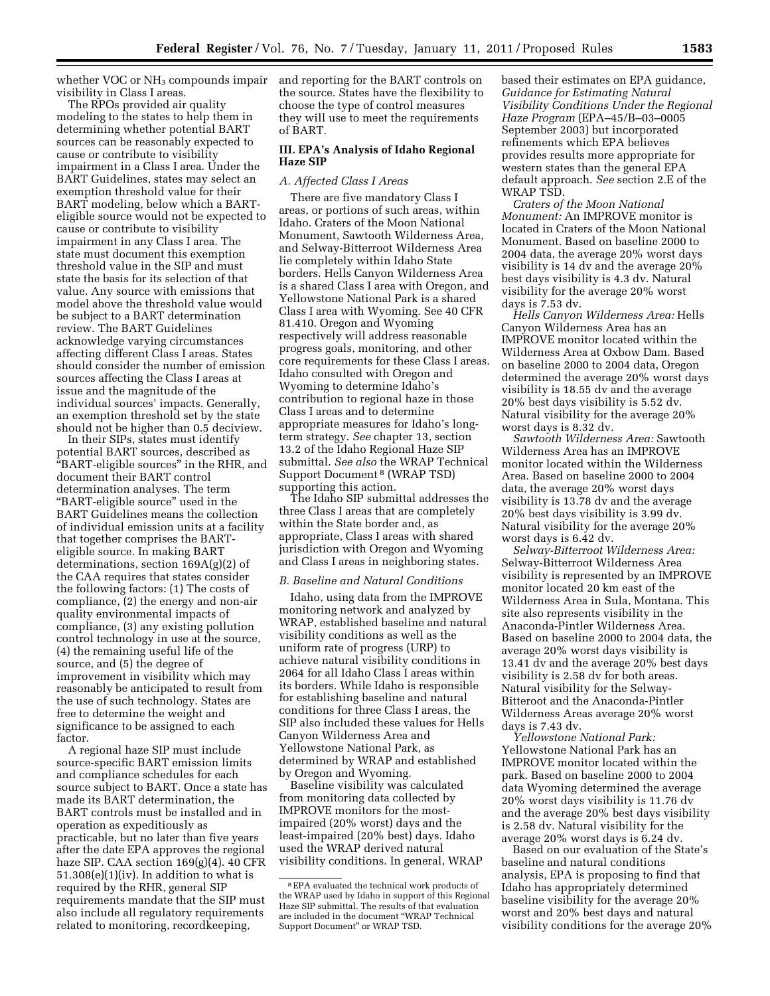whether VOC or NH3 compounds impair and reporting for the BART controls on visibility in Class I areas.

The RPOs provided air quality modeling to the states to help them in determining whether potential BART sources can be reasonably expected to cause or contribute to visibility impairment in a Class I area. Under the BART Guidelines, states may select an exemption threshold value for their BART modeling, below which a BARTeligible source would not be expected to cause or contribute to visibility impairment in any Class I area. The state must document this exemption threshold value in the SIP and must state the basis for its selection of that value. Any source with emissions that model above the threshold value would be subject to a BART determination review. The BART Guidelines acknowledge varying circumstances affecting different Class I areas. States should consider the number of emission sources affecting the Class I areas at issue and the magnitude of the individual sources' impacts. Generally, an exemption threshold set by the state should not be higher than 0.5 deciview.

In their SIPs, states must identify potential BART sources, described as ''BART-eligible sources'' in the RHR, and document their BART control determination analyses. The term ''BART-eligible source'' used in the BART Guidelines means the collection of individual emission units at a facility that together comprises the BARTeligible source. In making BART determinations, section 169A(g)(2) of the CAA requires that states consider the following factors: (1) The costs of compliance, (2) the energy and non-air quality environmental impacts of compliance, (3) any existing pollution control technology in use at the source, (4) the remaining useful life of the source, and (5) the degree of improvement in visibility which may reasonably be anticipated to result from the use of such technology. States are free to determine the weight and significance to be assigned to each factor.

A regional haze SIP must include source-specific BART emission limits and compliance schedules for each source subject to BART. Once a state has made its BART determination, the BART controls must be installed and in operation as expeditiously as practicable, but no later than five years after the date EPA approves the regional haze SIP. CAA section 169(g)(4). 40 CFR  $51.308(e)(1)(iv)$ . In addition to what is required by the RHR, general SIP requirements mandate that the SIP must also include all regulatory requirements related to monitoring, recordkeeping,

the source. States have the flexibility to choose the type of control measures they will use to meet the requirements of BART.

# **III. EPA's Analysis of Idaho Regional Haze SIP**

#### *A. Affected Class I Areas*

There are five mandatory Class I areas, or portions of such areas, within Idaho. Craters of the Moon National Monument, Sawtooth Wilderness Area, and Selway-Bitterroot Wilderness Area lie completely within Idaho State borders. Hells Canyon Wilderness Area is a shared Class I area with Oregon, and Yellowstone National Park is a shared Class I area with Wyoming. See 40 CFR 81.410. Oregon and Wyoming respectively will address reasonable progress goals, monitoring, and other core requirements for these Class I areas. Idaho consulted with Oregon and Wyoming to determine Idaho's contribution to regional haze in those Class I areas and to determine appropriate measures for Idaho's longterm strategy. *See* chapter 13, section 13.2 of the Idaho Regional Haze SIP submittal. *See also* the WRAP Technical Support Document 8 (WRAP TSD) supporting this action.

The Idaho SIP submittal addresses the three Class I areas that are completely within the State border and, as appropriate, Class I areas with shared jurisdiction with Oregon and Wyoming and Class I areas in neighboring states.

#### *B. Baseline and Natural Conditions*

Idaho, using data from the IMPROVE monitoring network and analyzed by WRAP, established baseline and natural visibility conditions as well as the uniform rate of progress (URP) to achieve natural visibility conditions in 2064 for all Idaho Class I areas within its borders. While Idaho is responsible for establishing baseline and natural conditions for three Class I areas, the SIP also included these values for Hells Canyon Wilderness Area and Yellowstone National Park, as determined by WRAP and established by Oregon and Wyoming.

Baseline visibility was calculated from monitoring data collected by IMPROVE monitors for the mostimpaired (20% worst) days and the least-impaired (20% best) days. Idaho used the WRAP derived natural visibility conditions. In general, WRAP based their estimates on EPA guidance, *Guidance for Estimating Natural Visibility Conditions Under the Regional Haze Program* (EPA–45/B–03–0005 September 2003) but incorporated refinements which EPA believes provides results more appropriate for western states than the general EPA default approach. *See* section 2.E of the WRAP TSD.

*Craters of the Moon National Monument:* An IMPROVE monitor is located in Craters of the Moon National Monument. Based on baseline 2000 to 2004 data, the average 20% worst days visibility is 14 dv and the average 20% best days visibility is 4.3 dv. Natural visibility for the average 20% worst days is 7.53 dv.

*Hells Canyon Wilderness Area:* Hells Canyon Wilderness Area has an IMPROVE monitor located within the Wilderness Area at Oxbow Dam. Based on baseline 2000 to 2004 data, Oregon determined the average 20% worst days visibility is 18.55 dv and the average 20% best days visibility is 5.52 dv. Natural visibility for the average 20% worst days is 8.32 dv.

*Sawtooth Wilderness Area:* Sawtooth Wilderness Area has an IMPROVE monitor located within the Wilderness Area. Based on baseline 2000 to 2004 data, the average 20% worst days visibility is 13.78 dv and the average 20% best days visibility is 3.99 dv. Natural visibility for the average 20% worst days is 6.42 dv.

*Selway-Bitterroot Wilderness Area:*  Selway-Bitterroot Wilderness Area visibility is represented by an IMPROVE monitor located 20 km east of the Wilderness Area in Sula, Montana. This site also represents visibility in the Anaconda-Pintler Wilderness Area. Based on baseline 2000 to 2004 data, the average 20% worst days visibility is 13.41 dv and the average 20% best days visibility is 2.58 dv for both areas. Natural visibility for the Selway-Bitteroot and the Anaconda-Pintler Wilderness Areas average 20% worst days is 7.43 dv.

*Yellowstone National Park:*  Yellowstone National Park has an IMPROVE monitor located within the park. Based on baseline 2000 to 2004 data Wyoming determined the average 20% worst days visibility is 11.76 dv and the average 20% best days visibility is 2.58 dv. Natural visibility for the average 20% worst days is 6.24 dv.

Based on our evaluation of the State's baseline and natural conditions analysis, EPA is proposing to find that Idaho has appropriately determined baseline visibility for the average 20% worst and 20% best days and natural visibility conditions for the average 20%

<sup>8</sup>EPA evaluated the technical work products of the WRAP used by Idaho in support of this Regional Haze SIP submittal. The results of that evaluation are included in the document ''WRAP Technical Support Document'' or WRAP TSD.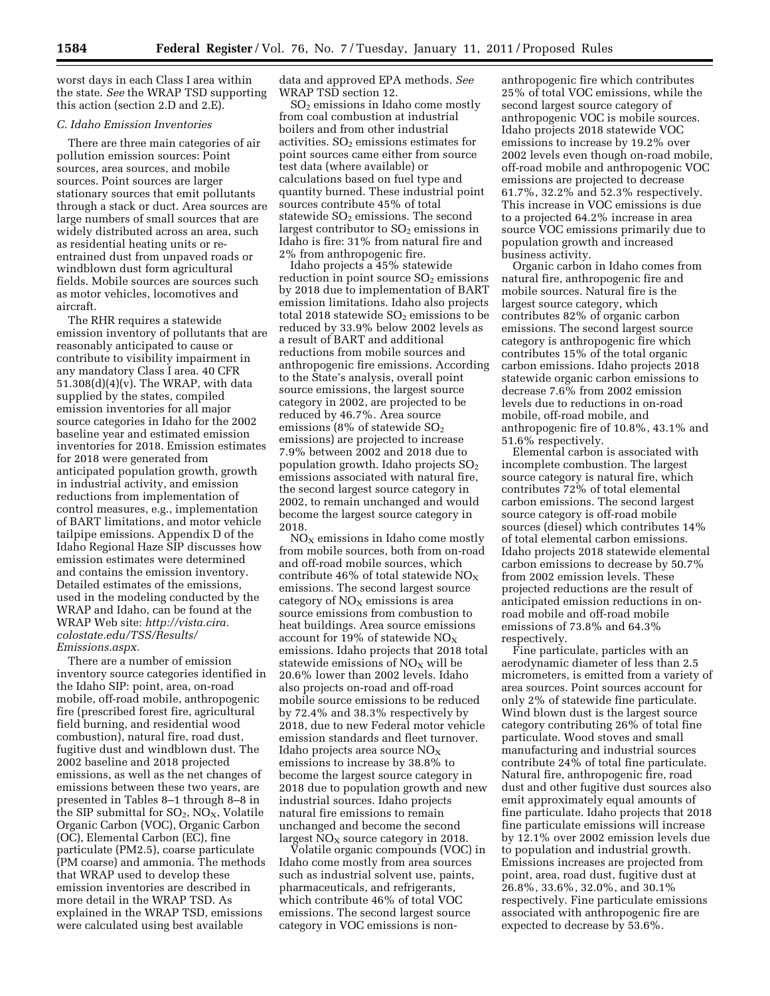worst days in each Class I area within the state. *See* the WRAP TSD supporting this action (section 2.D and 2.E).

### *C. Idaho Emission Inventories*

There are three main categories of air pollution emission sources: Point sources, area sources, and mobile sources. Point sources are larger stationary sources that emit pollutants through a stack or duct. Area sources are large numbers of small sources that are widely distributed across an area, such as residential heating units or reentrained dust from unpaved roads or windblown dust form agricultural fields. Mobile sources are sources such as motor vehicles, locomotives and aircraft.

The RHR requires a statewide emission inventory of pollutants that are reasonably anticipated to cause or contribute to visibility impairment in any mandatory Class I area. 40 CFR 51.308(d)(4)(v). The WRAP, with data supplied by the states, compiled emission inventories for all major source categories in Idaho for the 2002 baseline year and estimated emission inventories for 2018. Emission estimates for 2018 were generated from anticipated population growth, growth in industrial activity, and emission reductions from implementation of control measures, e.g., implementation of BART limitations, and motor vehicle tailpipe emissions. Appendix D of the Idaho Regional Haze SIP discusses how emission estimates were determined and contains the emission inventory. Detailed estimates of the emissions, used in the modeling conducted by the WRAP and Idaho, can be found at the WRAP Web site: *[http://vista.cira.](http://vista.cira.colostate.edu/TSS/Results/Emissions.aspx) [colostate.edu/TSS/Results/](http://vista.cira.colostate.edu/TSS/Results/Emissions.aspx) [Emissions.aspx.](http://vista.cira.colostate.edu/TSS/Results/Emissions.aspx)* 

There are a number of emission inventory source categories identified in the Idaho SIP: point, area, on-road mobile, off-road mobile, anthropogenic fire (prescribed forest fire, agricultural field burning, and residential wood combustion), natural fire, road dust, fugitive dust and windblown dust. The 2002 baseline and 2018 projected emissions, as well as the net changes of emissions between these two years, are presented in Tables 8–1 through 8–8 in the SIP submittal for  $SO_2$ ,  $NO_X$ , Volatile Organic Carbon (VOC), Organic Carbon (OC), Elemental Carbon (EC), fine particulate (PM2.5), coarse particulate (PM coarse) and ammonia. The methods that WRAP used to develop these emission inventories are described in more detail in the WRAP TSD. As explained in the WRAP TSD, emissions were calculated using best available

data and approved EPA methods. *See*  WRAP TSD section 12.

SO2 emissions in Idaho come mostly from coal combustion at industrial boilers and from other industrial activities.  $SO<sub>2</sub>$  emissions estimates for point sources came either from source test data (where available) or calculations based on fuel type and quantity burned. These industrial point sources contribute 45% of total statewide  $SO<sub>2</sub>$  emissions. The second largest contributor to  $SO<sub>2</sub>$  emissions in Idaho is fire: 31% from natural fire and 2% from anthropogenic fire.

Idaho projects a 45% statewide reduction in point source  $SO<sub>2</sub>$  emissions by 2018 due to implementation of BART emission limitations. Idaho also projects total 2018 statewide  $SO<sub>2</sub>$  emissions to be reduced by 33.9% below 2002 levels as a result of BART and additional reductions from mobile sources and anthropogenic fire emissions. According to the State's analysis, overall point source emissions, the largest source category in 2002, are projected to be reduced by 46.7%. Area source emissions (8% of statewide  $SO<sub>2</sub>$ emissions) are projected to increase 7.9% between 2002 and 2018 due to population growth. Idaho projects  $SO<sub>2</sub>$ emissions associated with natural fire, the second largest source category in 2002, to remain unchanged and would become the largest source category in 2018.

 $NO<sub>x</sub>$  emissions in Idaho come mostly from mobile sources, both from on-road and off-road mobile sources, which contribute 46% of total statewide  $NO<sub>X</sub>$ emissions. The second largest source category of  $NO<sub>x</sub>$  emissions is area source emissions from combustion to heat buildings. Area source emissions account for 19% of statewide  $NO<sub>X</sub>$ emissions. Idaho projects that 2018 total statewide emissions of  $NO<sub>X</sub>$  will be 20.6% lower than 2002 levels. Idaho also projects on-road and off-road mobile source emissions to be reduced by 72.4% and 38.3% respectively by 2018, due to new Federal motor vehicle emission standards and fleet turnover. Idaho projects area source  $NO<sub>x</sub>$ emissions to increase by 38.8% to become the largest source category in 2018 due to population growth and new industrial sources. Idaho projects natural fire emissions to remain unchanged and become the second largest  $NO<sub>x</sub>$  source category in 2018.

Volatile organic compounds (VOC) in Idaho come mostly from area sources such as industrial solvent use, paints, pharmaceuticals, and refrigerants, which contribute 46% of total VOC emissions. The second largest source category in VOC emissions is non-

anthropogenic fire which contributes 25% of total VOC emissions, while the second largest source category of anthropogenic VOC is mobile sources. Idaho projects 2018 statewide VOC emissions to increase by 19.2% over 2002 levels even though on-road mobile, off-road mobile and anthropogenic VOC emissions are projected to decrease 61.7%, 32.2% and 52.3% respectively. This increase in VOC emissions is due to a projected 64.2% increase in area source VOC emissions primarily due to population growth and increased business activity.

Organic carbon in Idaho comes from natural fire, anthropogenic fire and mobile sources. Natural fire is the largest source category, which contributes 82% of organic carbon emissions. The second largest source category is anthropogenic fire which contributes 15% of the total organic carbon emissions. Idaho projects 2018 statewide organic carbon emissions to decrease 7.6% from 2002 emission levels due to reductions in on-road mobile, off-road mobile, and anthropogenic fire of 10.8%, 43.1% and 51.6% respectively.

Elemental carbon is associated with incomplete combustion. The largest source category is natural fire, which contributes 72% of total elemental carbon emissions. The second largest source category is off-road mobile sources (diesel) which contributes 14% of total elemental carbon emissions. Idaho projects 2018 statewide elemental carbon emissions to decrease by 50.7% from 2002 emission levels. These projected reductions are the result of anticipated emission reductions in onroad mobile and off-road mobile emissions of 73.8% and 64.3% respectively.

Fine particulate, particles with an aerodynamic diameter of less than 2.5 micrometers, is emitted from a variety of area sources. Point sources account for only 2% of statewide fine particulate. Wind blown dust is the largest source category contributing 26% of total fine particulate. Wood stoves and small manufacturing and industrial sources contribute 24% of total fine particulate. Natural fire, anthropogenic fire, road dust and other fugitive dust sources also emit approximately equal amounts of fine particulate. Idaho projects that 2018 fine particulate emissions will increase by 12.1% over 2002 emission levels due to population and industrial growth. Emissions increases are projected from point, area, road dust, fugitive dust at 26.8%, 33.6%, 32.0%, and 30.1% respectively. Fine particulate emissions associated with anthropogenic fire are expected to decrease by 53.6%.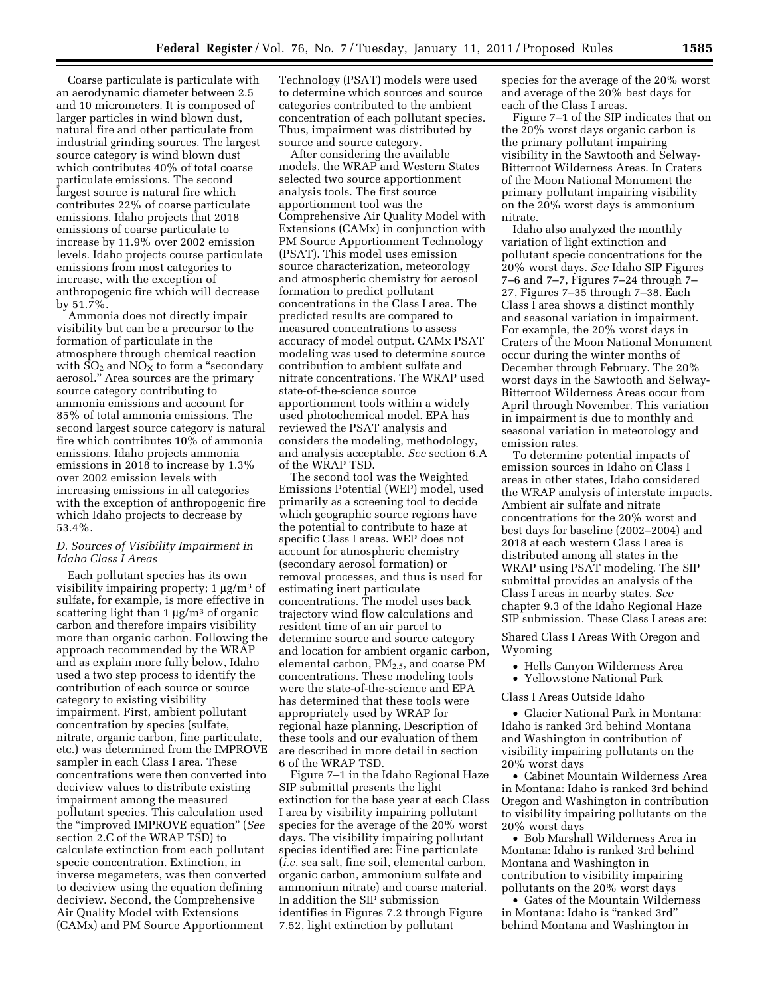Coarse particulate is particulate with an aerodynamic diameter between 2.5 and 10 micrometers. It is composed of larger particles in wind blown dust, natural fire and other particulate from industrial grinding sources. The largest source category is wind blown dust which contributes 40% of total coarse particulate emissions. The second largest source is natural fire which contributes 22% of coarse particulate emissions. Idaho projects that 2018 emissions of coarse particulate to increase by 11.9% over 2002 emission levels. Idaho projects course particulate emissions from most categories to increase, with the exception of anthropogenic fire which will decrease by 51.7%.

Ammonia does not directly impair visibility but can be a precursor to the formation of particulate in the atmosphere through chemical reaction with  $SO_2$  and  $NO_X$  to form a "secondary aerosol.'' Area sources are the primary source category contributing to ammonia emissions and account for 85% of total ammonia emissions. The second largest source category is natural fire which contributes 10% of ammonia emissions. Idaho projects ammonia emissions in 2018 to increase by 1.3% over 2002 emission levels with increasing emissions in all categories with the exception of anthropogenic fire which Idaho projects to decrease by 53.4%.

# *D. Sources of Visibility Impairment in Idaho Class I Areas*

Each pollutant species has its own visibility impairing property; 1 μg/m<sup>3</sup> of sulfate, for example, is more effective in scattering light than  $1 \mu g/m^3$  of organic carbon and therefore impairs visibility more than organic carbon. Following the approach recommended by the WRAP and as explain more fully below, Idaho used a two step process to identify the contribution of each source or source category to existing visibility impairment. First, ambient pollutant concentration by species (sulfate, nitrate, organic carbon, fine particulate, etc.) was determined from the IMPROVE sampler in each Class I area. These concentrations were then converted into deciview values to distribute existing impairment among the measured pollutant species. This calculation used the ''improved IMPROVE equation'' (*See*  section 2.C of the WRAP TSD) to calculate extinction from each pollutant specie concentration. Extinction, in inverse megameters, was then converted to deciview using the equation defining deciview. Second, the Comprehensive Air Quality Model with Extensions (CAMx) and PM Source Apportionment

Technology (PSAT) models were used to determine which sources and source categories contributed to the ambient concentration of each pollutant species. Thus, impairment was distributed by source and source category.

After considering the available models, the WRAP and Western States selected two source apportionment analysis tools. The first source apportionment tool was the Comprehensive Air Quality Model with Extensions (CAMx) in conjunction with PM Source Apportionment Technology (PSAT). This model uses emission source characterization, meteorology and atmospheric chemistry for aerosol formation to predict pollutant concentrations in the Class I area. The predicted results are compared to measured concentrations to assess accuracy of model output. CAMx PSAT modeling was used to determine source contribution to ambient sulfate and nitrate concentrations. The WRAP used state-of-the-science source apportionment tools within a widely used photochemical model. EPA has reviewed the PSAT analysis and considers the modeling, methodology, and analysis acceptable. *See* section 6.A of the WRAP TSD.

The second tool was the Weighted Emissions Potential (WEP) model, used primarily as a screening tool to decide which geographic source regions have the potential to contribute to haze at specific Class I areas. WEP does not account for atmospheric chemistry (secondary aerosol formation) or removal processes, and thus is used for estimating inert particulate concentrations. The model uses back trajectory wind flow calculations and resident time of an air parcel to determine source and source category and location for ambient organic carbon, elemental carbon, PM2.5, and coarse PM concentrations. These modeling tools were the state-of-the-science and EPA has determined that these tools were appropriately used by WRAP for regional haze planning. Description of these tools and our evaluation of them are described in more detail in section 6 of the WRAP TSD.

Figure 7–1 in the Idaho Regional Haze SIP submittal presents the light extinction for the base year at each Class I area by visibility impairing pollutant species for the average of the 20% worst days. The visibility impairing pollutant species identified are: Fine particulate (*i.e.* sea salt, fine soil, elemental carbon, organic carbon, ammonium sulfate and ammonium nitrate) and coarse material. In addition the SIP submission identifies in Figures 7.2 through Figure 7.52, light extinction by pollutant

species for the average of the 20% worst and average of the 20% best days for each of the Class I areas.

Figure 7–1 of the SIP indicates that on the 20% worst days organic carbon is the primary pollutant impairing visibility in the Sawtooth and Selway-Bitterroot Wilderness Areas. In Craters of the Moon National Monument the primary pollutant impairing visibility on the 20% worst days is ammonium nitrate.

Idaho also analyzed the monthly variation of light extinction and pollutant specie concentrations for the 20% worst days. *See* Idaho SIP Figures 7–6 and 7–7, Figures 7–24 through 7– 27, Figures 7–35 through 7–38. Each Class I area shows a distinct monthly and seasonal variation in impairment. For example, the 20% worst days in Craters of the Moon National Monument occur during the winter months of December through February. The 20% worst days in the Sawtooth and Selway-Bitterroot Wilderness Areas occur from April through November. This variation in impairment is due to monthly and seasonal variation in meteorology and emission rates.

To determine potential impacts of emission sources in Idaho on Class I areas in other states, Idaho considered the WRAP analysis of interstate impacts. Ambient air sulfate and nitrate concentrations for the 20% worst and best days for baseline (2002–2004) and 2018 at each western Class I area is distributed among all states in the WRAP using PSAT modeling. The SIP submittal provides an analysis of the Class I areas in nearby states. *See*  chapter 9.3 of the Idaho Regional Haze SIP submission. These Class I areas are:

Shared Class I Areas With Oregon and Wyoming

- Hells Canyon Wilderness Area
- Yellowstone National Park

Class I Areas Outside Idaho

• Glacier National Park in Montana: Idaho is ranked 3rd behind Montana and Washington in contribution of visibility impairing pollutants on the 20% worst days

• Cabinet Mountain Wilderness Area in Montana: Idaho is ranked 3rd behind Oregon and Washington in contribution to visibility impairing pollutants on the 20% worst days

• Bob Marshall Wilderness Area in Montana: Idaho is ranked 3rd behind Montana and Washington in contribution to visibility impairing pollutants on the 20% worst days

• Gates of the Mountain Wilderness in Montana: Idaho is ''ranked 3rd'' behind Montana and Washington in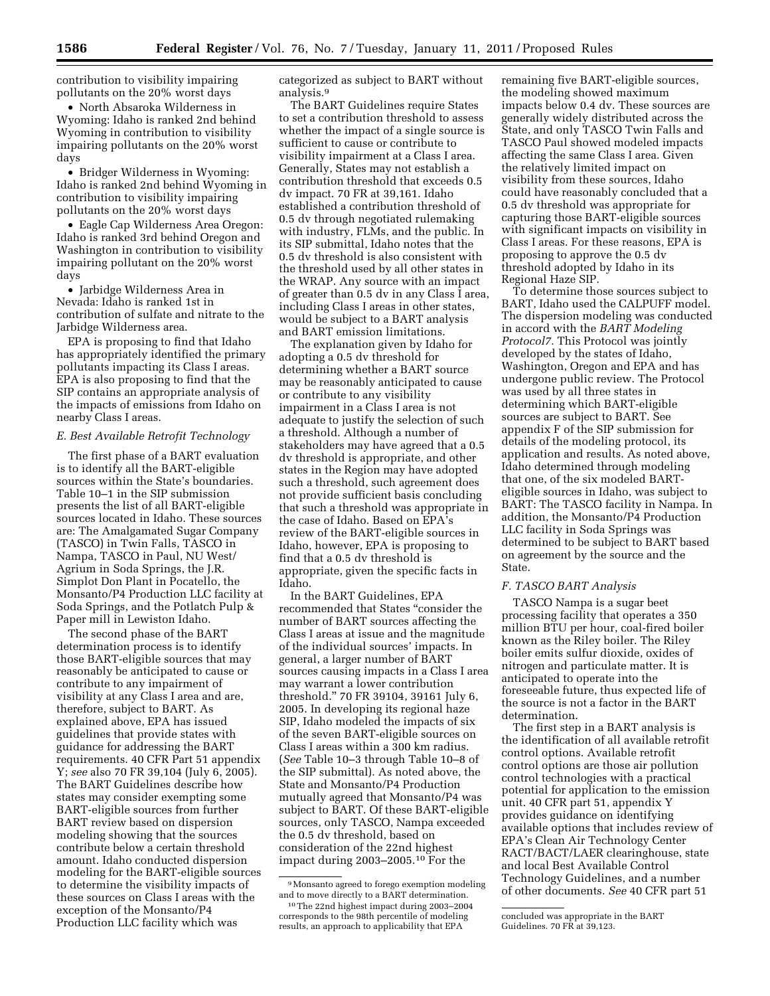contribution to visibility impairing pollutants on the 20% worst days

• North Absaroka Wilderness in Wyoming: Idaho is ranked 2nd behind Wyoming in contribution to visibility impairing pollutants on the 20% worst days

• Bridger Wilderness in Wyoming: Idaho is ranked 2nd behind Wyoming in contribution to visibility impairing pollutants on the 20% worst days

• Eagle Cap Wilderness Area Oregon: Idaho is ranked 3rd behind Oregon and Washington in contribution to visibility impairing pollutant on the 20% worst days

• Jarbidge Wilderness Area in Nevada: Idaho is ranked 1st in contribution of sulfate and nitrate to the Jarbidge Wilderness area.

EPA is proposing to find that Idaho has appropriately identified the primary pollutants impacting its Class I areas. EPA is also proposing to find that the SIP contains an appropriate analysis of the impacts of emissions from Idaho on nearby Class I areas.

# *E. Best Available Retrofit Technology*

The first phase of a BART evaluation is to identify all the BART-eligible sources within the State's boundaries. Table 10–1 in the SIP submission presents the list of all BART-eligible sources located in Idaho. These sources are: The Amalgamated Sugar Company (TASCO) in Twin Falls, TASCO in Nampa, TASCO in Paul, NU West/ Agrium in Soda Springs, the J.R. Simplot Don Plant in Pocatello, the Monsanto/P4 Production LLC facility at Soda Springs, and the Potlatch Pulp & Paper mill in Lewiston Idaho.

The second phase of the BART determination process is to identify those BART-eligible sources that may reasonably be anticipated to cause or contribute to any impairment of visibility at any Class I area and are, therefore, subject to BART. As explained above, EPA has issued guidelines that provide states with guidance for addressing the BART requirements. 40 CFR Part 51 appendix Y; *see* also 70 FR 39,104 (July 6, 2005). The BART Guidelines describe how states may consider exempting some BART-eligible sources from further BART review based on dispersion modeling showing that the sources contribute below a certain threshold amount. Idaho conducted dispersion modeling for the BART-eligible sources to determine the visibility impacts of these sources on Class I areas with the exception of the Monsanto/P4 Production LLC facility which was

categorized as subject to BART without analysis.9

The BART Guidelines require States to set a contribution threshold to assess whether the impact of a single source is sufficient to cause or contribute to visibility impairment at a Class I area. Generally, States may not establish a contribution threshold that exceeds 0.5 dv impact. 70 FR at 39,161. Idaho established a contribution threshold of 0.5 dv through negotiated rulemaking with industry, FLMs, and the public. In its SIP submittal, Idaho notes that the 0.5 dv threshold is also consistent with the threshold used by all other states in the WRAP. Any source with an impact of greater than 0.5 dv in any Class I area, including Class I areas in other states, would be subject to a BART analysis and BART emission limitations.

The explanation given by Idaho for adopting a 0.5 dv threshold for determining whether a BART source may be reasonably anticipated to cause or contribute to any visibility impairment in a Class I area is not adequate to justify the selection of such a threshold. Although a number of stakeholders may have agreed that a 0.5 dv threshold is appropriate, and other states in the Region may have adopted such a threshold, such agreement does not provide sufficient basis concluding that such a threshold was appropriate in the case of Idaho. Based on EPA's review of the BART-eligible sources in Idaho, however, EPA is proposing to find that a 0.5 dv threshold is appropriate, given the specific facts in Idaho.

In the BART Guidelines, EPA recommended that States ''consider the number of BART sources affecting the Class I areas at issue and the magnitude of the individual sources' impacts. In general, a larger number of BART sources causing impacts in a Class I area may warrant a lower contribution threshold.'' 70 FR 39104, 39161 July 6, 2005. In developing its regional haze SIP, Idaho modeled the impacts of six of the seven BART-eligible sources on Class I areas within a 300 km radius. (*See* Table 10–3 through Table 10–8 of the SIP submittal). As noted above, the State and Monsanto/P4 Production mutually agreed that Monsanto/P4 was subject to BART. Of these BART-eligible sources, only TASCO, Nampa exceeded the 0.5 dv threshold, based on consideration of the 22nd highest impact during 2003–2005.10 For the

remaining five BART-eligible sources, the modeling showed maximum impacts below 0.4 dv. These sources are generally widely distributed across the State, and only TASCO Twin Falls and TASCO Paul showed modeled impacts affecting the same Class I area. Given the relatively limited impact on visibility from these sources, Idaho could have reasonably concluded that a 0.5 dv threshold was appropriate for capturing those BART-eligible sources with significant impacts on visibility in Class I areas. For these reasons, EPA is proposing to approve the 0.5 dv threshold adopted by Idaho in its Regional Haze SIP.

To determine those sources subject to BART, Idaho used the CALPUFF model. The dispersion modeling was conducted in accord with the *BART Modeling Protocol7.* This Protocol was jointly developed by the states of Idaho, Washington, Oregon and EPA and has undergone public review. The Protocol was used by all three states in determining which BART-eligible sources are subject to BART. See appendix F of the SIP submission for details of the modeling protocol, its application and results. As noted above, Idaho determined through modeling that one, of the six modeled BARTeligible sources in Idaho, was subject to BART: The TASCO facility in Nampa. In addition, the Monsanto/P4 Production LLC facility in Soda Springs was determined to be subject to BART based on agreement by the source and the State.

# *F. TASCO BART Analysis*

TASCO Nampa is a sugar beet processing facility that operates a 350 million BTU per hour, coal-fired boiler known as the Riley boiler. The Riley boiler emits sulfur dioxide, oxides of nitrogen and particulate matter. It is anticipated to operate into the foreseeable future, thus expected life of the source is not a factor in the BART determination.

The first step in a BART analysis is the identification of all available retrofit control options. Available retrofit control options are those air pollution control technologies with a practical potential for application to the emission unit. 40 CFR part 51, appendix Y provides guidance on identifying available options that includes review of EPA's Clean Air Technology Center RACT/BACT/LAER clearinghouse, state and local Best Available Control Technology Guidelines, and a number of other documents. *See* 40 CFR part 51

<sup>9</sup>Monsanto agreed to forego exemption modeling and to move directly to a BART determination.

<sup>10</sup>The 22nd highest impact during 2003–2004 corresponds to the 98th percentile of modeling results, an approach to applicability that EPA

concluded was appropriate in the BART Guidelines. 70 FR at 39,123.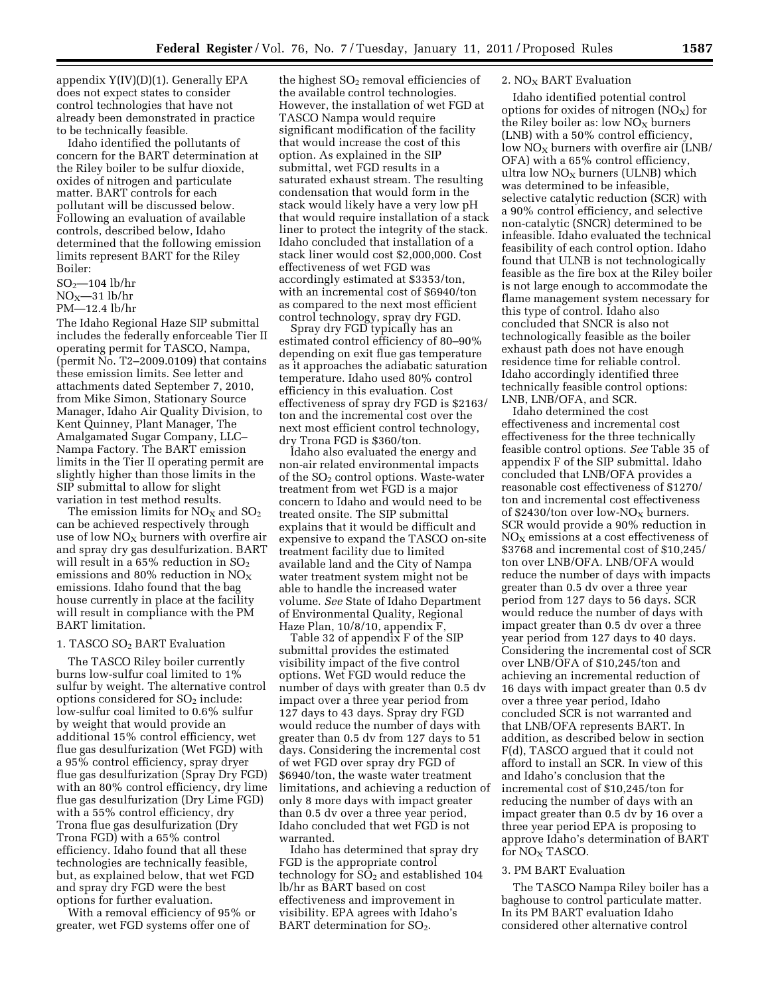appendix Y(IV)(D)(1). Generally EPA does not expect states to consider control technologies that have not already been demonstrated in practice to be technically feasible.

Idaho identified the pollutants of concern for the BART determination at the Riley boiler to be sulfur dioxide, oxides of nitrogen and particulate matter. BART controls for each pollutant will be discussed below. Following an evaluation of available controls, described below, Idaho determined that the following emission limits represent BART for the Riley Boiler:

- $SO<sub>2</sub>$ —104 lb/hr
- $NO<sub>x</sub>$  -31 lb/hr
- PM—12.4 lb/hr

The Idaho Regional Haze SIP submittal includes the federally enforceable Tier II operating permit for TASCO, Nampa, (permit No. T2–2009.0109) that contains these emission limits. See letter and attachments dated September 7, 2010, from Mike Simon, Stationary Source Manager, Idaho Air Quality Division, to Kent Quinney, Plant Manager, The Amalgamated Sugar Company, LLC– Nampa Factory. The BART emission limits in the Tier II operating permit are slightly higher than those limits in the SIP submittal to allow for slight variation in test method results.

The emission limits for  $NO<sub>x</sub>$  and  $SO<sub>2</sub>$ can be achieved respectively through use of low  $NO<sub>X</sub>$  burners with overfire air and spray dry gas desulfurization. BART will result in a  $65\%$  reduction in  $SO<sub>2</sub>$ emissions and 80% reduction in  $NO_X$ emissions. Idaho found that the bag house currently in place at the facility will result in compliance with the PM BART limitation.

### 1. TASCO SO<sub>2</sub> BART Evaluation

The TASCO Riley boiler currently burns low-sulfur coal limited to 1% sulfur by weight. The alternative control options considered for  $SO<sub>2</sub>$  include: low-sulfur coal limited to 0.6% sulfur by weight that would provide an additional 15% control efficiency, wet flue gas desulfurization (Wet FGD) with a 95% control efficiency, spray dryer flue gas desulfurization (Spray Dry FGD) with an 80% control efficiency, dry lime flue gas desulfurization (Dry Lime FGD) with a 55% control efficiency, dry Trona flue gas desulfurization (Dry Trona FGD) with a 65% control efficiency. Idaho found that all these technologies are technically feasible, but, as explained below, that wet FGD and spray dry FGD were the best options for further evaluation.

With a removal efficiency of 95% or greater, wet FGD systems offer one of

the highest  $SO<sub>2</sub>$  removal efficiencies of the available control technologies. However, the installation of wet FGD at TASCO Nampa would require significant modification of the facility that would increase the cost of this option. As explained in the SIP submittal, wet FGD results in a saturated exhaust stream. The resulting condensation that would form in the stack would likely have a very low pH that would require installation of a stack liner to protect the integrity of the stack. Idaho concluded that installation of a stack liner would cost \$2,000,000. Cost effectiveness of wet FGD was accordingly estimated at \$3353/ton, with an incremental cost of \$6940/ton as compared to the next most efficient control technology, spray dry FGD.

Spray dry FGD typically has an estimated control efficiency of 80–90% depending on exit flue gas temperature as it approaches the adiabatic saturation temperature. Idaho used 80% control efficiency in this evaluation. Cost effectiveness of spray dry FGD is \$2163/ ton and the incremental cost over the next most efficient control technology, dry Trona FGD is \$360/ton.

Idaho also evaluated the energy and non-air related environmental impacts of the  $SO<sub>2</sub>$  control options. Waste-water treatment from wet FGD is a major concern to Idaho and would need to be treated onsite. The SIP submittal explains that it would be difficult and expensive to expand the TASCO on-site treatment facility due to limited available land and the City of Nampa water treatment system might not be able to handle the increased water volume. *See* State of Idaho Department of Environmental Quality, Regional Haze Plan, 10/8/10, appendix F,

Table 32 of appendix F of the SIP submittal provides the estimated visibility impact of the five control options. Wet FGD would reduce the number of days with greater than 0.5 dv impact over a three year period from 127 days to 43 days. Spray dry FGD would reduce the number of days with greater than 0.5 dv from 127 days to 51 days. Considering the incremental cost of wet FGD over spray dry FGD of \$6940/ton, the waste water treatment limitations, and achieving a reduction of only 8 more days with impact greater than 0.5 dv over a three year period, Idaho concluded that wet FGD is not warranted.

Idaho has determined that spray dry FGD is the appropriate control technology for  $SO<sub>2</sub>$  and established 104 lb/hr as BART based on cost effectiveness and improvement in visibility. EPA agrees with Idaho's BART determination for SO<sub>2</sub>.

# 2. NO<sub>X</sub> BART Evaluation

Idaho identified potential control options for oxides of nitrogen  $(NO<sub>X</sub>)$  for the Riley boiler as: low  $N\overline{O}_X$  burners (LNB) with a 50% control efficiency, low  $N_{\text{Ox}}$  burners with overfire air (LNB/ OFA) with a 65% control efficiency, ultra low  $NO<sub>X</sub>$  burners (ULNB) which was determined to be infeasible, selective catalytic reduction (SCR) with a 90% control efficiency, and selective non-catalytic (SNCR) determined to be infeasible. Idaho evaluated the technical feasibility of each control option. Idaho found that ULNB is not technologically feasible as the fire box at the Riley boiler is not large enough to accommodate the flame management system necessary for this type of control. Idaho also concluded that SNCR is also not technologically feasible as the boiler exhaust path does not have enough residence time for reliable control. Idaho accordingly identified three technically feasible control options: LNB, LNB/OFA, and SCR.

Idaho determined the cost effectiveness and incremental cost effectiveness for the three technically feasible control options. *See* Table 35 of appendix F of the SIP submittal. Idaho concluded that LNB/OFA provides a reasonable cost effectiveness of \$1270/ ton and incremental cost effectiveness of  $$2430/t$ on over low-NO<sub>x</sub> burners. SCR would provide a 90% reduction in  $NO<sub>X</sub>$  emissions at a cost effectiveness of \$3768 and incremental cost of \$10,245/ ton over LNB/OFA. LNB/OFA would reduce the number of days with impacts greater than 0.5 dv over a three year period from 127 days to 56 days. SCR would reduce the number of days with impact greater than 0.5 dv over a three year period from 127 days to 40 days. Considering the incremental cost of SCR over LNB/OFA of \$10,245/ton and achieving an incremental reduction of 16 days with impact greater than 0.5 dv over a three year period, Idaho concluded SCR is not warranted and that LNB/OFA represents BART. In addition, as described below in section F(d), TASCO argued that it could not afford to install an SCR. In view of this and Idaho's conclusion that the incremental cost of \$10,245/ton for reducing the number of days with an impact greater than 0.5 dv by 16 over a three year period EPA is proposing to approve Idaho's determination of BART for  $NO<sub>X</sub>$  TASCO.

# 3. PM BART Evaluation

The TASCO Nampa Riley boiler has a baghouse to control particulate matter. In its PM BART evaluation Idaho considered other alternative control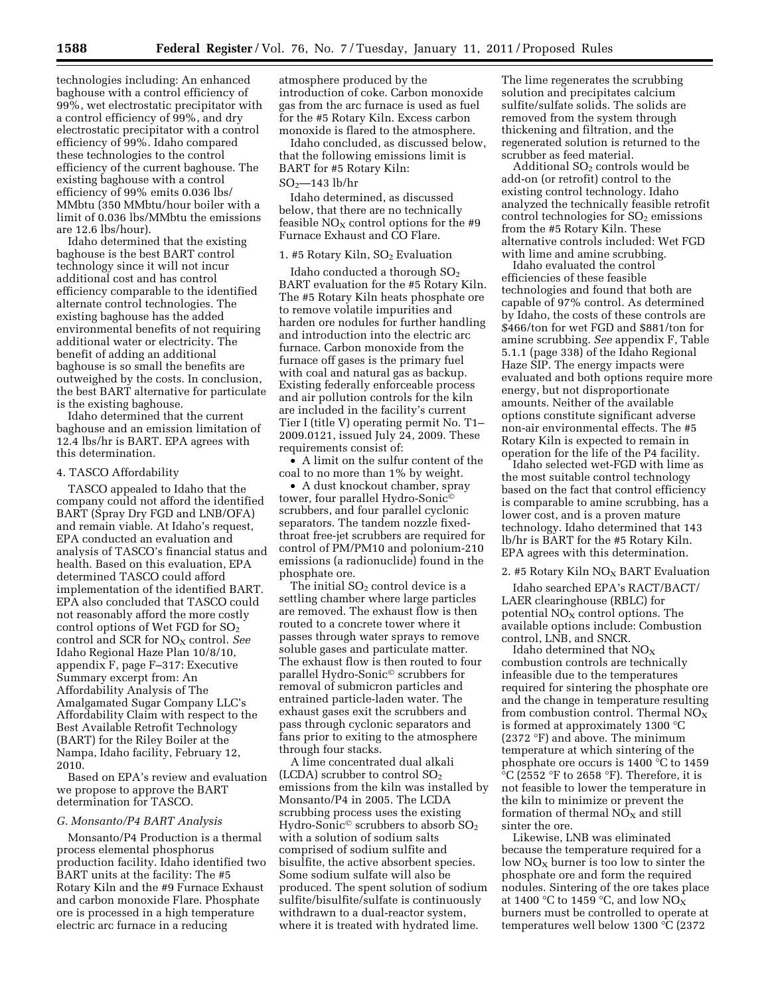technologies including: An enhanced baghouse with a control efficiency of 99%, wet electrostatic precipitator with a control efficiency of 99%, and dry electrostatic precipitator with a control efficiency of 99%. Idaho compared these technologies to the control efficiency of the current baghouse. The existing baghouse with a control efficiency of 99% emits 0.036 lbs/ MMbtu (350 MMbtu/hour boiler with a limit of 0.036 lbs/MMbtu the emissions are 12.6 lbs/hour).

Idaho determined that the existing baghouse is the best BART control technology since it will not incur additional cost and has control efficiency comparable to the identified alternate control technologies. The existing baghouse has the added environmental benefits of not requiring additional water or electricity. The benefit of adding an additional baghouse is so small the benefits are outweighed by the costs. In conclusion, the best BART alternative for particulate is the existing baghouse.

Idaho determined that the current baghouse and an emission limitation of 12.4 lbs/hr is BART. EPA agrees with this determination.

#### 4. TASCO Affordability

TASCO appealed to Idaho that the company could not afford the identified BART (Spray Dry FGD and LNB/OFA) and remain viable. At Idaho's request, EPA conducted an evaluation and analysis of TASCO's financial status and health. Based on this evaluation, EPA determined TASCO could afford implementation of the identified BART. EPA also concluded that TASCO could not reasonably afford the more costly control options of Wet FGD for  $SO<sub>2</sub>$ control and SCR for NO<sub>X</sub> control. *See* Idaho Regional Haze Plan 10/8/10, appendix F, page F–317: Executive Summary excerpt from: An Affordability Analysis of The Amalgamated Sugar Company LLC's Affordability Claim with respect to the Best Available Retrofit Technology (BART) for the Riley Boiler at the Nampa, Idaho facility, February 12, 2010.

Based on EPA's review and evaluation we propose to approve the BART determination for TASCO.

#### *G. Monsanto/P4 BART Analysis*

Monsanto/P4 Production is a thermal process elemental phosphorus production facility. Idaho identified two BART units at the facility: The #5 Rotary Kiln and the #9 Furnace Exhaust and carbon monoxide Flare. Phosphate ore is processed in a high temperature electric arc furnace in a reducing

atmosphere produced by the introduction of coke. Carbon monoxide gas from the arc furnace is used as fuel for the #5 Rotary Kiln. Excess carbon monoxide is flared to the atmosphere.

Idaho concluded, as discussed below, that the following emissions limit is BART for #5 Rotary Kiln:

### $SO<sub>2</sub>$ —143 lb/hr

Idaho determined, as discussed below, that there are no technically feasible  $NO<sub>X</sub>$  control options for the #9 Furnace Exhaust and CO Flare.

#### 1. #5 Rotary Kiln,  $SO<sub>2</sub>$  Evaluation

Idaho conducted a thorough  $SO<sub>2</sub>$ BART evaluation for the #5 Rotary Kiln. The #5 Rotary Kiln heats phosphate ore to remove volatile impurities and harden ore nodules for further handling and introduction into the electric arc furnace. Carbon monoxide from the furnace off gases is the primary fuel with coal and natural gas as backup. Existing federally enforceable process and air pollution controls for the kiln are included in the facility's current Tier I (title V) operating permit No. T1– 2009.0121, issued July 24, 2009. These requirements consist of:

• A limit on the sulfur content of the coal to no more than 1% by weight.

• A dust knockout chamber, spray tower, four parallel Hydro-Sonic© scrubbers, and four parallel cyclonic separators. The tandem nozzle fixedthroat free-jet scrubbers are required for control of PM/PM10 and polonium-210 emissions (a radionuclide) found in the phosphate ore.

The initial  $SO<sub>2</sub>$  control device is a settling chamber where large particles are removed. The exhaust flow is then routed to a concrete tower where it passes through water sprays to remove soluble gases and particulate matter. The exhaust flow is then routed to four parallel Hydro-Sonic© scrubbers for removal of submicron particles and entrained particle-laden water. The exhaust gases exit the scrubbers and pass through cyclonic separators and fans prior to exiting to the atmosphere through four stacks.

A lime concentrated dual alkali (LCDA) scrubber to control SO2 emissions from the kiln was installed by Monsanto/P4 in 2005. The LCDA scrubbing process uses the existing Hydro-Sonic<sup> $\circ$ </sup> scrubbers to absorb  $SO_2$ with a solution of sodium salts comprised of sodium sulfite and bisulfite, the active absorbent species. Some sodium sulfate will also be produced. The spent solution of sodium sulfite/bisulfite/sulfate is continuously withdrawn to a dual-reactor system, where it is treated with hydrated lime.

The lime regenerates the scrubbing solution and precipitates calcium sulfite/sulfate solids. The solids are removed from the system through thickening and filtration, and the regenerated solution is returned to the scrubber as feed material.

Additional  $SO<sub>2</sub>$  controls would be add-on (or retrofit) control to the existing control technology. Idaho analyzed the technically feasible retrofit control technologies for  $SO<sub>2</sub>$  emissions from the #5 Rotary Kiln. These alternative controls included: Wet FGD with lime and amine scrubbing.

Idaho evaluated the control efficiencies of these feasible technologies and found that both are capable of 97% control. As determined by Idaho, the costs of these controls are \$466/ton for wet FGD and \$881/ton for amine scrubbing. *See* appendix F, Table 5.1.1 (page 338) of the Idaho Regional Haze SIP. The energy impacts were evaluated and both options require more energy, but not disproportionate amounts. Neither of the available options constitute significant adverse non-air environmental effects. The #5 Rotary Kiln is expected to remain in operation for the life of the P4 facility.

Idaho selected wet-FGD with lime as the most suitable control technology based on the fact that control efficiency is comparable to amine scrubbing, has a lower cost, and is a proven mature technology. Idaho determined that 143 lb/hr is BART for the #5 Rotary Kiln. EPA agrees with this determination.

#### 2. #5 Rotary Kiln  $NO<sub>x</sub>$  BART Evaluation

Idaho searched EPA's RACT/BACT/ LAER clearinghouse (RBLC) for potential  $NO<sub>X</sub>$  control options. The available options include: Combustion control, LNB, and SNCR.

Idaho determined that  $NO<sub>x</sub>$ combustion controls are technically infeasible due to the temperatures required for sintering the phosphate ore and the change in temperature resulting from combustion control. Thermal  $NO<sub>X</sub>$ is formed at approximately 1300 °C (2372 °F) and above. The minimum temperature at which sintering of the phosphate ore occurs is 1400 °C to 1459 °C (2552 °F to 2658 °F). Therefore, it is not feasible to lower the temperature in the kiln to minimize or prevent the formation of thermal  $NO<sub>X</sub>$  and still sinter the ore.

Likewise, LNB was eliminated because the temperature required for a low  $NO<sub>X</sub>$  burner is too low to sinter the phosphate ore and form the required nodules. Sintering of the ore takes place at 1400 °C to 1459 °C, and low  $NO_X$ burners must be controlled to operate at temperatures well below 1300 °C (2372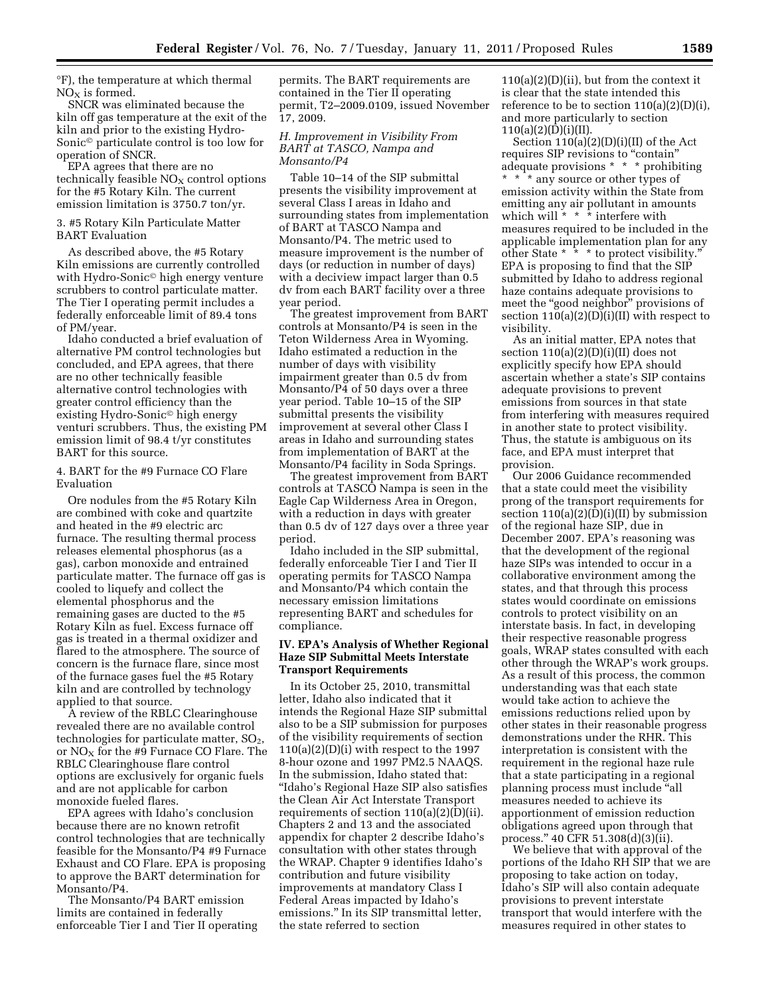°F), the temperature at which thermal  $NO<sub>x</sub>$  is formed.

SNCR was eliminated because the kiln off gas temperature at the exit of the kiln and prior to the existing Hydro-Sonic© particulate control is too low for operation of SNCR.

EPA agrees that there are no technically feasible  $NO<sub>x</sub>$  control options for the #5 Rotary Kiln. The current emission limitation is 3750.7 ton/yr.

### 3. #5 Rotary Kiln Particulate Matter BART Evaluation

As described above, the #5 Rotary Kiln emissions are currently controlled with Hydro-Sonic<sup>®</sup> high energy venture scrubbers to control particulate matter. The Tier I operating permit includes a federally enforceable limit of 89.4 tons of PM/year.

Idaho conducted a brief evaluation of alternative PM control technologies but concluded, and EPA agrees, that there are no other technically feasible alternative control technologies with greater control efficiency than the existing Hydro-Sonic© high energy venturi scrubbers. Thus, the existing PM emission limit of 98.4 t/yr constitutes BART for this source.

# 4. BART for the #9 Furnace CO Flare Evaluation

Ore nodules from the #5 Rotary Kiln are combined with coke and quartzite and heated in the #9 electric arc furnace. The resulting thermal process releases elemental phosphorus (as a gas), carbon monoxide and entrained particulate matter. The furnace off gas is cooled to liquefy and collect the elemental phosphorus and the remaining gases are ducted to the #5 Rotary Kiln as fuel. Excess furnace off gas is treated in a thermal oxidizer and flared to the atmosphere. The source of concern is the furnace flare, since most of the furnace gases fuel the #5 Rotary kiln and are controlled by technology applied to that source.

A review of the RBLC Clearinghouse revealed there are no available control technologies for particulate matter,  $SO<sub>2</sub>$ , or  $\rm{NO_{X}}$  for the #9 Furnace CO Flare. The RBLC Clearinghouse flare control options are exclusively for organic fuels and are not applicable for carbon monoxide fueled flares.

EPA agrees with Idaho's conclusion because there are no known retrofit control technologies that are technically feasible for the Monsanto/P4 #9 Furnace Exhaust and CO Flare. EPA is proposing to approve the BART determination for Monsanto/P4.

The Monsanto/P4 BART emission limits are contained in federally enforceable Tier I and Tier II operating

permits. The BART requirements are contained in the Tier II operating permit, T2–2009.0109, issued November 17, 2009.

# *H. Improvement in Visibility From BART at TASCO, Nampa and Monsanto/P4*

Table 10–14 of the SIP submittal presents the visibility improvement at several Class I areas in Idaho and surrounding states from implementation of BART at TASCO Nampa and Monsanto/P4. The metric used to measure improvement is the number of days (or reduction in number of days) with a deciview impact larger than 0.5 dv from each BART facility over a three year period.

The greatest improvement from BART controls at Monsanto/P4 is seen in the Teton Wilderness Area in Wyoming. Idaho estimated a reduction in the number of days with visibility impairment greater than 0.5 dv from Monsanto/P4 of 50 days over a three year period. Table 10–15 of the SIP submittal presents the visibility improvement at several other Class I areas in Idaho and surrounding states from implementation of BART at the Monsanto/P4 facility in Soda Springs.

The greatest improvement from BART controls at TASCO Nampa is seen in the Eagle Cap Wilderness Area in Oregon, with a reduction in days with greater than 0.5 dv of 127 days over a three year period.

Idaho included in the SIP submittal, federally enforceable Tier I and Tier II operating permits for TASCO Nampa and Monsanto/P4 which contain the necessary emission limitations representing BART and schedules for compliance.

# **IV. EPA's Analysis of Whether Regional Haze SIP Submittal Meets Interstate Transport Requirements**

In its October 25, 2010, transmittal letter, Idaho also indicated that it intends the Regional Haze SIP submittal also to be a SIP submission for purposes of the visibility requirements of section  $110(a)(2)(D)(i)$  with respect to the 1997 8-hour ozone and 1997 PM2.5 NAAQS. In the submission, Idaho stated that: ''Idaho's Regional Haze SIP also satisfies the Clean Air Act Interstate Transport requirements of section 110(a)(2)(D)(ii). Chapters 2 and 13 and the associated appendix for chapter 2 describe Idaho's consultation with other states through the WRAP. Chapter 9 identifies Idaho's contribution and future visibility improvements at mandatory Class I Federal Areas impacted by Idaho's emissions.'' In its SIP transmittal letter, the state referred to section

110(a)(2)(D)(ii), but from the context it is clear that the state intended this reference to be to section  $110(a)(2)(D)(i)$ , and more particularly to section  $110(a)(2)(D)(i)(II).$ 

Section 110(a)(2)(D)(i)(II) of the Act requires SIP revisions to "contain" adequate provisions \* \* \* prohibiting \* \* \* any source or other types of emission activity within the State from emitting any air pollutant in amounts which will  $* * *$  interfere with measures required to be included in the applicable implementation plan for any other State \* \* \* to protect visibility.'' EPA is proposing to find that the SIP submitted by Idaho to address regional haze contains adequate provisions to meet the "good neighbor" provisions of section  $110(a)(2)(D)(I)(II)$  with respect to visibility.

As an initial matter, EPA notes that section  $110(a)(2)(D)(i)(II)$  does not explicitly specify how EPA should ascertain whether a state's SIP contains adequate provisions to prevent emissions from sources in that state from interfering with measures required in another state to protect visibility. Thus, the statute is ambiguous on its face, and EPA must interpret that provision.

Our 2006 Guidance recommended that a state could meet the visibility prong of the transport requirements for section  $110(a)(2)(D)(i)(II)$  by submission of the regional haze SIP, due in December 2007. EPA's reasoning was that the development of the regional haze SIPs was intended to occur in a collaborative environment among the states, and that through this process states would coordinate on emissions controls to protect visibility on an interstate basis. In fact, in developing their respective reasonable progress goals, WRAP states consulted with each other through the WRAP's work groups. As a result of this process, the common understanding was that each state would take action to achieve the emissions reductions relied upon by other states in their reasonable progress demonstrations under the RHR. This interpretation is consistent with the requirement in the regional haze rule that a state participating in a regional planning process must include ''all measures needed to achieve its apportionment of emission reduction obligations agreed upon through that process.'' 40 CFR 51.308(d)(3)(ii).

We believe that with approval of the portions of the Idaho RH SIP that we are proposing to take action on today, Idaho's SIP will also contain adequate provisions to prevent interstate transport that would interfere with the measures required in other states to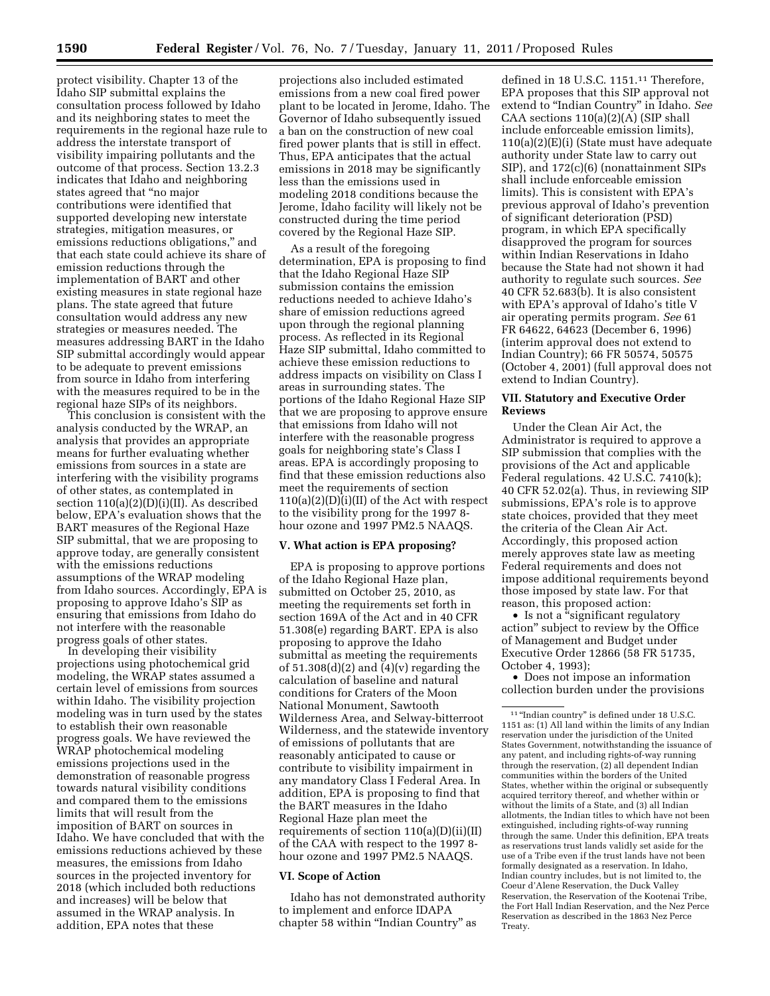protect visibility. Chapter 13 of the Idaho SIP submittal explains the consultation process followed by Idaho and its neighboring states to meet the requirements in the regional haze rule to address the interstate transport of visibility impairing pollutants and the outcome of that process. Section 13.2.3 indicates that Idaho and neighboring states agreed that ''no major contributions were identified that supported developing new interstate strategies, mitigation measures, or emissions reductions obligations,'' and that each state could achieve its share of emission reductions through the implementation of BART and other existing measures in state regional haze plans. The state agreed that future consultation would address any new strategies or measures needed. The measures addressing BART in the Idaho SIP submittal accordingly would appear to be adequate to prevent emissions from source in Idaho from interfering with the measures required to be in the regional haze SIPs of its neighbors.

This conclusion is consistent with the analysis conducted by the WRAP, an analysis that provides an appropriate means for further evaluating whether emissions from sources in a state are interfering with the visibility programs of other states, as contemplated in section  $110(a)(2)(D)(i)(II)$ . As described below, EPA's evaluation shows that the BART measures of the Regional Haze SIP submittal, that we are proposing to approve today, are generally consistent with the emissions reductions assumptions of the WRAP modeling from Idaho sources. Accordingly, EPA is proposing to approve Idaho's SIP as ensuring that emissions from Idaho do not interfere with the reasonable progress goals of other states.

In developing their visibility projections using photochemical grid modeling, the WRAP states assumed a certain level of emissions from sources within Idaho. The visibility projection modeling was in turn used by the states to establish their own reasonable progress goals. We have reviewed the WRAP photochemical modeling emissions projections used in the demonstration of reasonable progress towards natural visibility conditions and compared them to the emissions limits that will result from the imposition of BART on sources in Idaho. We have concluded that with the emissions reductions achieved by these measures, the emissions from Idaho sources in the projected inventory for 2018 (which included both reductions and increases) will be below that assumed in the WRAP analysis. In addition, EPA notes that these

projections also included estimated emissions from a new coal fired power plant to be located in Jerome, Idaho. The Governor of Idaho subsequently issued a ban on the construction of new coal fired power plants that is still in effect. Thus, EPA anticipates that the actual emissions in 2018 may be significantly less than the emissions used in modeling 2018 conditions because the Jerome, Idaho facility will likely not be constructed during the time period covered by the Regional Haze SIP.

As a result of the foregoing determination, EPA is proposing to find that the Idaho Regional Haze SIP submission contains the emission reductions needed to achieve Idaho's share of emission reductions agreed upon through the regional planning process. As reflected in its Regional Haze SIP submittal, Idaho committed to achieve these emission reductions to address impacts on visibility on Class I areas in surrounding states. The portions of the Idaho Regional Haze SIP that we are proposing to approve ensure that emissions from Idaho will not interfere with the reasonable progress goals for neighboring state's Class I areas. EPA is accordingly proposing to find that these emission reductions also meet the requirements of section  $110(a)(2)(D)(i)(II)$  of the Act with respect to the visibility prong for the 1997 8 hour ozone and 1997 PM2.5 NAAQS.

# **V. What action is EPA proposing?**

EPA is proposing to approve portions of the Idaho Regional Haze plan, submitted on October 25, 2010, as meeting the requirements set forth in section 169A of the Act and in 40 CFR 51.308(e) regarding BART. EPA is also proposing to approve the Idaho submittal as meeting the requirements of  $51.308(d)(2)$  and  $(4)(v)$  regarding the calculation of baseline and natural conditions for Craters of the Moon National Monument, Sawtooth Wilderness Area, and Selway-bitterroot Wilderness, and the statewide inventory of emissions of pollutants that are reasonably anticipated to cause or contribute to visibility impairment in any mandatory Class I Federal Area. In addition, EPA is proposing to find that the BART measures in the Idaho Regional Haze plan meet the requirements of section 110(a)(D)(ii)(II) of the CAA with respect to the 1997 8 hour ozone and 1997 PM2.5 NAAQS.

### **VI. Scope of Action**

Idaho has not demonstrated authority to implement and enforce IDAPA chapter 58 within ''Indian Country'' as

defined in 18 U.S.C. 1151.11 Therefore, EPA proposes that this SIP approval not extend to ''Indian Country'' in Idaho. *See*  CAA sections  $110(a)(2)(A)$  (SIP shall include enforceable emission limits), 110(a)(2)(E)(i) (State must have adequate authority under State law to carry out SIP), and 172(c)(6) (nonattainment SIPs shall include enforceable emission limits). This is consistent with EPA's previous approval of Idaho's prevention of significant deterioration (PSD) program, in which EPA specifically disapproved the program for sources within Indian Reservations in Idaho because the State had not shown it had authority to regulate such sources. *See*  40 CFR 52.683(b). It is also consistent with EPA's approval of Idaho's title V air operating permits program. *See* 61 FR 64622, 64623 (December 6, 1996) (interim approval does not extend to Indian Country); 66 FR 50574, 50575 (October 4, 2001) (full approval does not extend to Indian Country).

# **VII. Statutory and Executive Order Reviews**

Under the Clean Air Act, the Administrator is required to approve a SIP submission that complies with the provisions of the Act and applicable Federal regulations. 42 U.S.C. 7410(k); 40 CFR 52.02(a). Thus, in reviewing SIP submissions, EPA's role is to approve state choices, provided that they meet the criteria of the Clean Air Act. Accordingly, this proposed action merely approves state law as meeting Federal requirements and does not impose additional requirements beyond those imposed by state law. For that reason, this proposed action:

• Is not a "significant regulatory action'' subject to review by the Office of Management and Budget under Executive Order 12866 (58 FR 51735, October 4, 1993);

• Does not impose an information collection burden under the provisions

<sup>11</sup> ''Indian country'' is defined under 18 U.S.C. 1151 as: (1) All land within the limits of any Indian reservation under the jurisdiction of the United States Government, notwithstanding the issuance of any patent, and including rights-of-way running through the reservation, (2) all dependent Indian communities within the borders of the United States, whether within the original or subsequently acquired territory thereof, and whether within or without the limits of a State, and (3) all Indian allotments, the Indian titles to which have not been extinguished, including rights-of-way running through the same. Under this definition, EPA treats as reservations trust lands validly set aside for the use of a Tribe even if the trust lands have not been formally designated as a reservation. In Idaho, Indian country includes, but is not limited to, the Coeur d'Alene Reservation, the Duck Valley Reservation, the Reservation of the Kootenai Tribe, the Fort Hall Indian Reservation, and the Nez Perce Reservation as described in the 1863 Nez Perce Treaty.